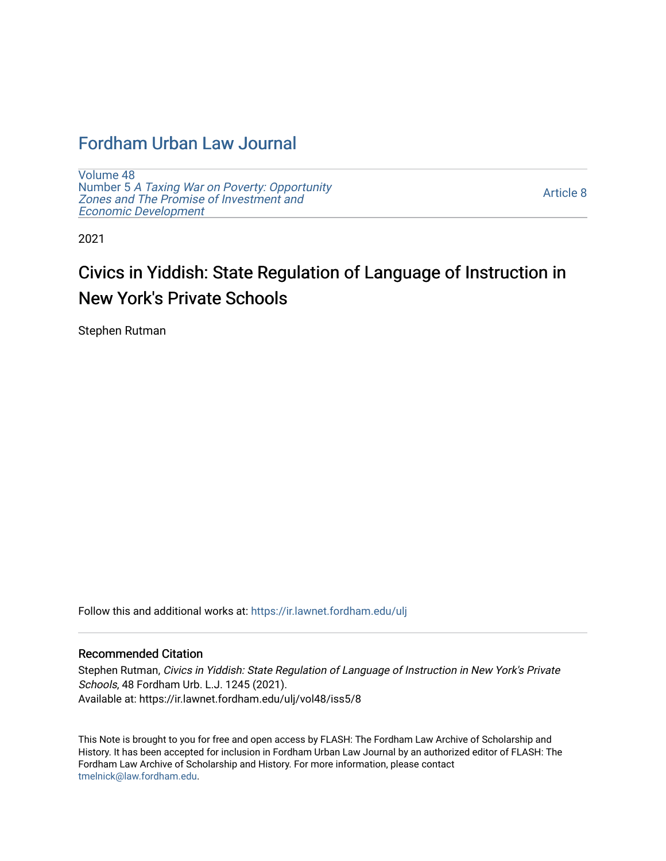# [Fordham Urban Law Journal](https://ir.lawnet.fordham.edu/ulj)

[Volume 48](https://ir.lawnet.fordham.edu/ulj/vol48) Number 5 [A Taxing War on Poverty: Opportunity](https://ir.lawnet.fordham.edu/ulj/vol48/iss5)  [Zones and The Promise of Investment and](https://ir.lawnet.fordham.edu/ulj/vol48/iss5)  [Economic Development](https://ir.lawnet.fordham.edu/ulj/vol48/iss5) 

[Article 8](https://ir.lawnet.fordham.edu/ulj/vol48/iss5/8) 

2021

# Civics in Yiddish: State Regulation of Language of Instruction in New York's Private Schools

Stephen Rutman

Follow this and additional works at: [https://ir.lawnet.fordham.edu/ulj](https://ir.lawnet.fordham.edu/ulj?utm_source=ir.lawnet.fordham.edu%2Fulj%2Fvol48%2Fiss5%2F8&utm_medium=PDF&utm_campaign=PDFCoverPages) 

# Recommended Citation

Stephen Rutman, Civics in Yiddish: State Regulation of Language of Instruction in New York's Private Schools, 48 Fordham Urb. L.J. 1245 (2021). Available at: https://ir.lawnet.fordham.edu/ulj/vol48/iss5/8

This Note is brought to you for free and open access by FLASH: The Fordham Law Archive of Scholarship and History. It has been accepted for inclusion in Fordham Urban Law Journal by an authorized editor of FLASH: The Fordham Law Archive of Scholarship and History. For more information, please contact [tmelnick@law.fordham.edu](mailto:tmelnick@law.fordham.edu).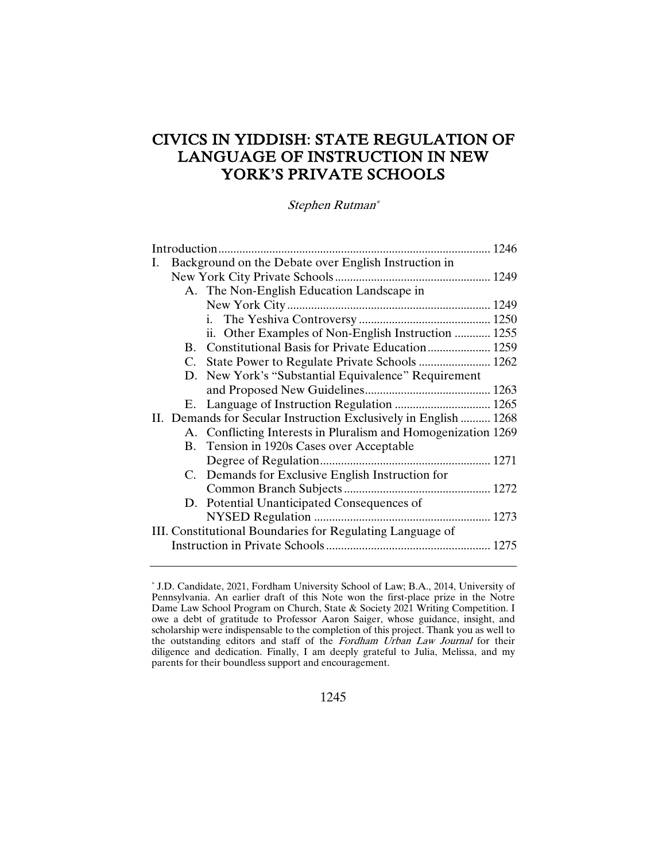# CIVICS IN YIDDISH: STATE REGULATION OF LANGUAGE OF INSTRUCTION IN NEW YORK'S PRIVATE SCHOOLS

Stephen Rutman\*

| Ι.                                                        | Background on the Debate over English Instruction in |                                                                  |  |  |
|-----------------------------------------------------------|------------------------------------------------------|------------------------------------------------------------------|--|--|
|                                                           |                                                      |                                                                  |  |  |
|                                                           |                                                      | A. The Non-English Education Landscape in                        |  |  |
|                                                           |                                                      |                                                                  |  |  |
|                                                           |                                                      |                                                                  |  |  |
|                                                           |                                                      | ii. Other Examples of Non-English Instruction  1255              |  |  |
|                                                           |                                                      |                                                                  |  |  |
|                                                           |                                                      |                                                                  |  |  |
|                                                           |                                                      | D. New York's "Substantial Equivalence" Requirement              |  |  |
|                                                           |                                                      |                                                                  |  |  |
|                                                           |                                                      |                                                                  |  |  |
|                                                           |                                                      | II. Demands for Secular Instruction Exclusively in English  1268 |  |  |
|                                                           |                                                      | A. Conflicting Interests in Pluralism and Homogenization 1269    |  |  |
|                                                           |                                                      | B. Tension in 1920s Cases over Acceptable                        |  |  |
|                                                           |                                                      |                                                                  |  |  |
|                                                           |                                                      | C. Demands for Exclusive English Instruction for                 |  |  |
|                                                           |                                                      |                                                                  |  |  |
|                                                           |                                                      | D. Potential Unanticipated Consequences of                       |  |  |
|                                                           |                                                      |                                                                  |  |  |
| III. Constitutional Boundaries for Regulating Language of |                                                      |                                                                  |  |  |
|                                                           |                                                      |                                                                  |  |  |
|                                                           |                                                      |                                                                  |  |  |

<sup>\*</sup> J.D. Candidate, 2021, Fordham University School of Law; B.A., 2014, University of Pennsylvania. An earlier draft of this Note won the first-place prize in the Notre Dame Law School Program on Church, State & Society 2021 Writing Competition. I owe a debt of gratitude to Professor Aaron Saiger, whose guidance, insight, and scholarship were indispensable to the completion of this project. Thank you as well to the outstanding editors and staff of the Fordham Urban Law Journal for their diligence and dedication. Finally, I am deeply grateful to Julia, Melissa, and my parents for their boundless support and encouragement.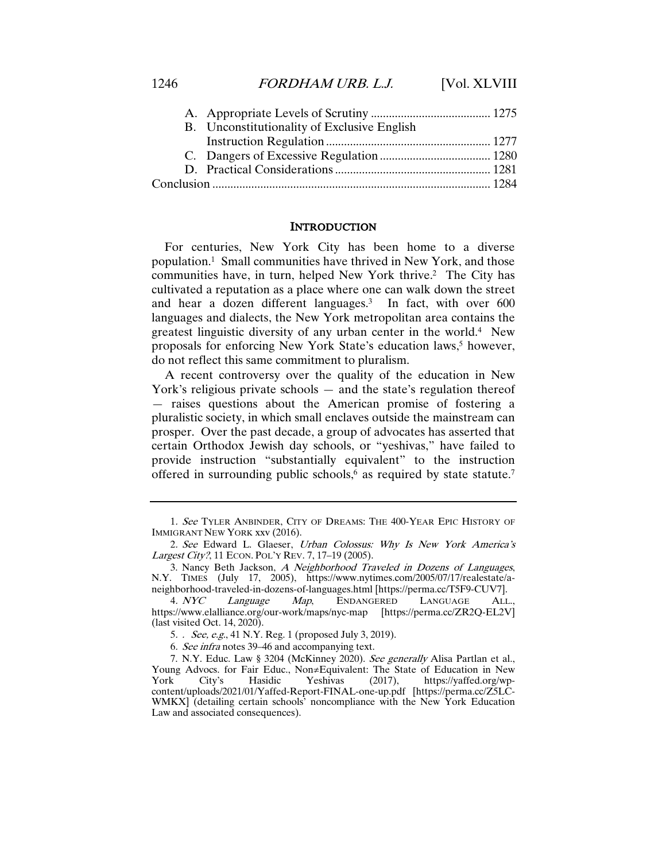| B. Unconstitutionality of Exclusive English |  |
|---------------------------------------------|--|
|                                             |  |
|                                             |  |
|                                             |  |
|                                             |  |
|                                             |  |

#### INTRODUCTION

For centuries, New York City has been home to a diverse population.1 Small communities have thrived in New York, and those communities have, in turn, helped New York thrive.2 The City has cultivated a reputation as a place where one can walk down the street and hear a dozen different languages.3 In fact, with over 600 languages and dialects, the New York metropolitan area contains the greatest linguistic diversity of any urban center in the world.4 New proposals for enforcing New York State's education laws,<sup>5</sup> however, do not reflect this same commitment to pluralism.

A recent controversy over the quality of the education in New York's religious private schools — and the state's regulation thereof — raises questions about the American promise of fostering a pluralistic society, in which small enclaves outside the mainstream can prosper. Over the past decade, a group of advocates has asserted that certain Orthodox Jewish day schools, or "yeshivas," have failed to provide instruction "substantially equivalent" to the instruction offered in surrounding public schools,<sup>6</sup> as required by state statute.<sup>7</sup>

Language Map, ENDANGERED LANGUAGE ALL., https://www.elalliance.org/our-work/maps/nyc-map [https://perma.cc/ZR2Q-EL2V] (last visited Oct. 14, 2020).

5. . See, e.g., 41 N.Y. Reg. 1 (proposed July 3, 2019).

<sup>1.</sup> See TYLER ANBINDER, CITY OF DREAMS: THE 400-YEAR EPIC HISTORY OF IMMIGRANT NEW YORK xxv (2016).

<sup>2.</sup> See Edward L. Glaeser, Urban Colossus: Why Is New York America's Largest City?, 11 ECON. POL'Y REV. 7, 17-19 (2005).

<sup>3.</sup> Nancy Beth Jackson, A Neighborhood Traveled in Dozens of Languages, N.Y. TIMES (July 17, 2005), https://www.nytimes.com/2005/07/17/realestate/aneighborhood-traveled-in-dozens-of-languages.html [https://perma.cc/T5F9-CUV7].<br>4. NYC Language Map, ENDANGERED LANGUAGE ALL

<sup>6</sup>. See infra notes 39–46 and accompanying text.

<sup>7.</sup> N.Y. Educ. Law § 3204 (McKinney 2020). See generally Alisa Partlan et al., Young Advocs. for Fair Educ., Non≠Equivalent: The State of Education in New York City's Hasidic Yeshivas (2017), https://yaffed.org/wphttps://yaffed.org/wpcontent/uploads/2021/01/Yaffed-Report-FINAL-one-up.pdf [https://perma.cc/Z5LC-WMKX] (detailing certain schools' noncompliance with the New York Education Law and associated consequences).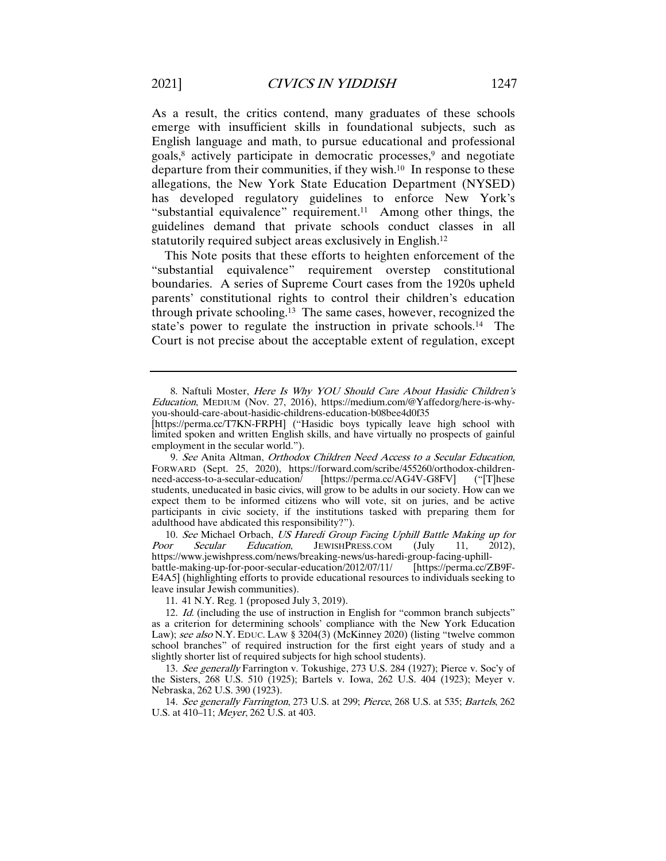As a result, the critics contend, many graduates of these schools emerge with insufficient skills in foundational subjects, such as English language and math, to pursue educational and professional goals,8 actively participate in democratic processes,9 and negotiate departure from their communities, if they wish.10 In response to these allegations, the New York State Education Department (NYSED) has developed regulatory guidelines to enforce New York's "substantial equivalence" requirement.<sup>11</sup> Among other things, the guidelines demand that private schools conduct classes in all statutorily required subject areas exclusively in English.12

This Note posits that these efforts to heighten enforcement of the "substantial equivalence" requirement overstep constitutional boundaries. A series of Supreme Court cases from the 1920s upheld parents' constitutional rights to control their children's education through private schooling.13 The same cases, however, recognized the state's power to regulate the instruction in private schools.<sup>14</sup> The Court is not precise about the acceptable extent of regulation, except

10. See Michael Orbach, US Haredi Group Facing Uphill Battle Making up for Poor Secular Education, JEWISHPRESS.COM (July 11, 2012), JEWISHPRESS.COM https://www.jewishpress.com/news/breaking-news/us-haredi-group-facing-uphillbattle-making-up-for-poor-secular-education/2012/07/11/ E4A5] (highlighting efforts to provide educational resources to individuals seeking to leave insular Jewish communities).

11. 41 N.Y. Reg. 1 (proposed July 3, 2019).

13. See generally Farrington v. Tokushige, 273 U.S. 284 (1927); Pierce v. Soc'y of the Sisters, 268 U.S. 510 (1925); Bartels v. Iowa, 262 U.S. 404 (1923); Meyer v. Nebraska, 262 U.S. 390 (1923).

14. See generally Farrington, 273 U.S. at 299; Pierce, 268 U.S. at 535; Bartels, 262 U.S. at 410–11; Meyer, 262 U.S. at 403.

<sup>8.</sup> Naftuli Moster, Here Is Why YOU Should Care About Hasidic Children's Education, MEDIUM (Nov. 27, 2016), https://medium.com/@Yaffedorg/here-is-whyyou-should-care-about-hasidic-childrens-education-b08bee4d0f35

<sup>[</sup>https://perma.cc/T7KN-FRPH] ("Hasidic boys typically leave high school with limited spoken and written English skills, and have virtually no prospects of gainful employment in the secular world.").

<sup>9.</sup> See Anita Altman, Orthodox Children Need Access to a Secular Education, FORWARD (Sept. 25, 2020), https://forward.com/scribe/455260/orthodox-children-<br>need-access-to-a-secular-education/ [https://perma.cc/AG4V-G8FV] ("[T]hese need-access-to-a-secular-education/ students, uneducated in basic civics, will grow to be adults in our society. How can we expect them to be informed citizens who will vote, sit on juries, and be active participants in civic society, if the institutions tasked with preparing them for adulthood have abdicated this responsibility?").

<sup>12.</sup> Id. (including the use of instruction in English for "common branch subjects" as a criterion for determining schools' compliance with the New York Education Law); see also N.Y. EDUC. LAW § 3204(3) (McKinney 2020) (listing "twelve common school branches" of required instruction for the first eight years of study and a slightly shorter list of required subjects for high school students).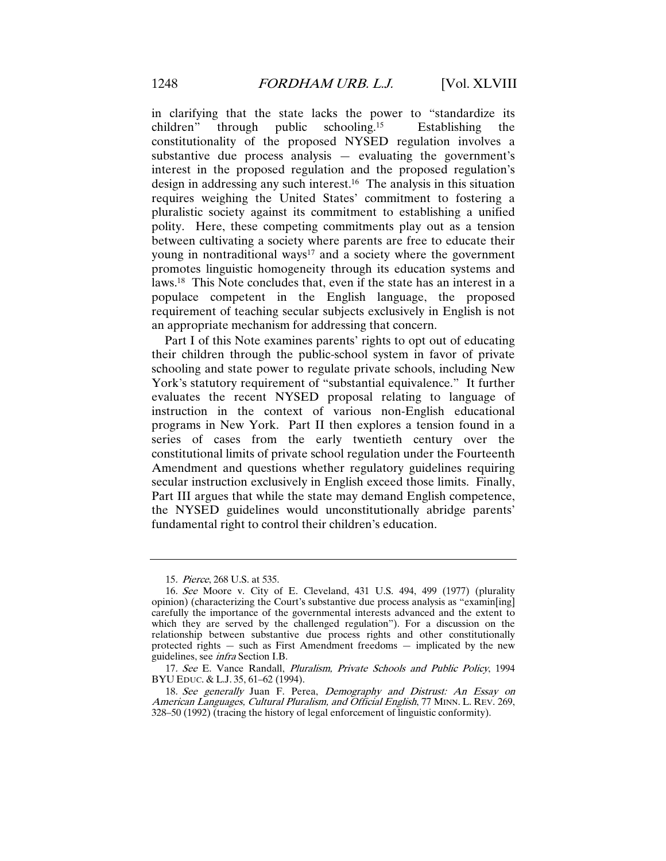in clarifying that the state lacks the power to "standardize its children" through public schooling.<sup>15</sup> Establishing the public schooling.<sup>15</sup> Establishing constitutionality of the proposed NYSED regulation involves a substantive due process analysis — evaluating the government's interest in the proposed regulation and the proposed regulation's design in addressing any such interest.16 The analysis in this situation requires weighing the United States' commitment to fostering a pluralistic society against its commitment to establishing a unified polity. Here, these competing commitments play out as a tension between cultivating a society where parents are free to educate their young in nontraditional ways<sup>17</sup> and a society where the government promotes linguistic homogeneity through its education systems and laws.18 This Note concludes that, even if the state has an interest in a populace competent in the English language, the proposed requirement of teaching secular subjects exclusively in English is not an appropriate mechanism for addressing that concern.

Part I of this Note examines parents' rights to opt out of educating their children through the public-school system in favor of private schooling and state power to regulate private schools, including New York's statutory requirement of "substantial equivalence." It further evaluates the recent NYSED proposal relating to language of instruction in the context of various non-English educational programs in New York. Part II then explores a tension found in a series of cases from the early twentieth century over the constitutional limits of private school regulation under the Fourteenth Amendment and questions whether regulatory guidelines requiring secular instruction exclusively in English exceed those limits. Finally, Part III argues that while the state may demand English competence, the NYSED guidelines would unconstitutionally abridge parents' fundamental right to control their children's education.

<sup>15</sup>. Pierce, 268 U.S. at 535.

<sup>16</sup>. See Moore v. City of E. Cleveland, 431 U.S. 494, 499 (1977) (plurality opinion) (characterizing the Court's substantive due process analysis as "examin[ing] carefully the importance of the governmental interests advanced and the extent to which they are served by the challenged regulation"). For a discussion on the relationship between substantive due process rights and other constitutionally protected rights — such as First Amendment freedoms — implicated by the new guidelines, see infra Section I.B.

<sup>17.</sup> See E. Vance Randall, Pluralism, Private Schools and Public Policy, 1994 BYU EDUC. & L.J. 35, 61–62 (1994).

<sup>18</sup>. See generally Juan F. Perea, Demography and Distrust: An Essay on American Languages, Cultural Pluralism, and Official English, 77 MINN. L. REV. 269, 328–50 (1992) (tracing the history of legal enforcement of linguistic conformity).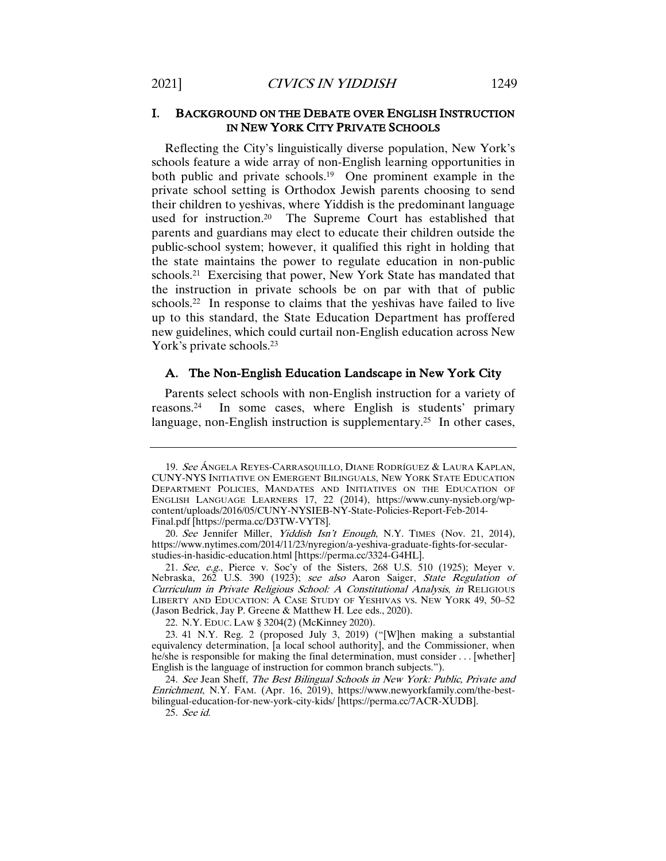# I. BACKGROUND ON THE DEBATE OVER ENGLISH INSTRUCTION IN NEW YORK CITY PRIVATE SCHOOLS

Reflecting the City's linguistically diverse population, New York's schools feature a wide array of non-English learning opportunities in both public and private schools.<sup>19</sup> One prominent example in the private school setting is Orthodox Jewish parents choosing to send their children to yeshivas, where Yiddish is the predominant language used for instruction.20 The Supreme Court has established that parents and guardians may elect to educate their children outside the public-school system; however, it qualified this right in holding that the state maintains the power to regulate education in non-public schools.21 Exercising that power, New York State has mandated that the instruction in private schools be on par with that of public schools.<sup>22</sup> In response to claims that the yeshivas have failed to live up to this standard, the State Education Department has proffered new guidelines, which could curtail non-English education across New York's private schools.<sup>23</sup>

#### A. The Non-English Education Landscape in New York City

Parents select schools with non-English instruction for a variety of reasons.24 In some cases, where English is students' primary language, non-English instruction is supplementary.<sup>25</sup> In other cases,

<sup>19.</sup> See ÁNGELA REYES-CARRASQUILLO, DIANE RODRÍGUEZ & LAURA KAPLAN, CUNY-NYS INITIATIVE ON EMERGENT BILINGUALS, NEW YORK STATE EDUCATION DEPARTMENT POLICIES, MANDATES AND INITIATIVES ON THE EDUCATION OF ENGLISH LANGUAGE LEARNERS 17, 22 (2014), https://www.cuny-nysieb.org/wpcontent/uploads/2016/05/CUNY-NYSIEB-NY-State-Policies-Report-Feb-2014- Final.pdf [https://perma.cc/D3TW-VYT8].

<sup>20</sup>*. See* Jennifer Miller, *Yiddish Isn't Enough*, N.Y. TIMES (Nov. 21, 2014), https://www.nytimes.com/2014/11/23/nyregion/a-yeshiva-graduate-fights-for-secularstudies-in-hasidic-education.html [https://perma.cc/3324-G4HL].

<sup>21.</sup> See, e.g., Pierce v. Soc'y of the Sisters, 268 U.S. 510 (1925); Meyer v. Nebraska, 262 U.S. 390 (1923); see also Aaron Saiger, State Regulation of Curriculum in Private Religious School: A Constitutional Analysis, in RELIGIOUS LIBERTY AND EDUCATION: A CASE STUDY OF YESHIVAS VS. NEW YORK 49, 50–52 (Jason Bedrick, Jay P. Greene & Matthew H. Lee eds., 2020).

<sup>22.</sup> N.Y. EDUC. LAW § 3204(2) (McKinney 2020).

<sup>23.</sup> 41 N.Y. Reg. 2 (proposed July 3, 2019) ("[W]hen making a substantial equivalency determination, [a local school authority], and the Commissioner, when he/she is responsible for making the final determination, must consider . . . [whether] English is the language of instruction for common branch subjects.").

<sup>24</sup>. See Jean Sheff, The Best Bilingual Schools in New York: Public, Private and Enrichment, N.Y. FAM. (Apr. 16, 2019), https://www.newyorkfamily.com/the-bestbilingual-education-for-new-york-city-kids/ [https://perma.cc/7ACR-XUDB].

<sup>25</sup>. See id.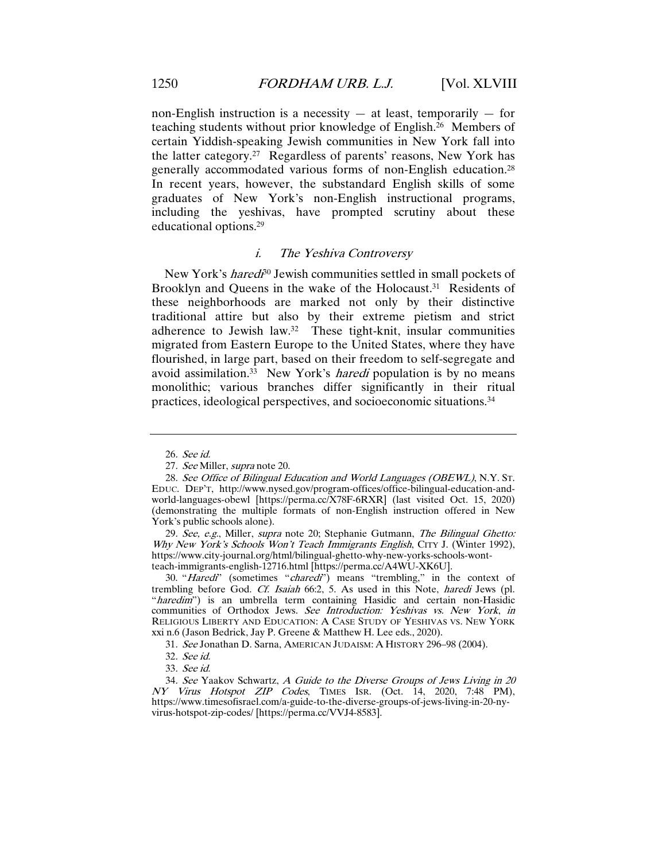non-English instruction is a necessity  $-$  at least, temporarily  $-$  for teaching students without prior knowledge of English.26 Members of certain Yiddish-speaking Jewish communities in New York fall into the latter category.27 Regardless of parents' reasons, New York has generally accommodated various forms of non-English education.28 In recent years, however, the substandard English skills of some graduates of New York's non-English instructional programs, including the yeshivas, have prompted scrutiny about these educational options.29

#### i. The Yeshiva Controversy

New York's *haredi*<sup>30</sup> Jewish communities settled in small pockets of Brooklyn and Queens in the wake of the Holocaust.<sup>31</sup> Residents of these neighborhoods are marked not only by their distinctive traditional attire but also by their extreme pietism and strict adherence to Jewish law.32 These tight-knit, insular communities migrated from Eastern Europe to the United States, where they have flourished, in large part, based on their freedom to self-segregate and avoid assimilation.<sup>33</sup> New York's *haredi* population is by no means monolithic; various branches differ significantly in their ritual practices, ideological perspectives, and socioeconomic situations.34

29. See, e.g., Miller, supra note 20; Stephanie Gutmann, The Bilingual Ghetto: Why New York's Schools Won't Teach Immigrants English, CITY J. (Winter 1992), https://www.city-journal.org/html/bilingual-ghetto-why-new-yorks-schools-wontteach-immigrants-english-12716.html [https://perma.cc/A4WU-XK6U].

30. "Haredi" (sometimes "charedi") means "trembling," in the context of trembling before God. Cf. Isaiah 66:2, 5. As used in this Note, haredi Jews (pl. "*haredim*") is an umbrella term containing Hasidic and certain non-Hasidic communities of Orthodox Jews. See Introduction: Yeshivas vs. New York, in RELIGIOUS LIBERTY AND EDUCATION: A CASE STUDY OF YESHIVAS VS. NEW YORK xxi n.6 (Jason Bedrick, Jay P. Greene & Matthew H. Lee eds., 2020).

31. See Jonathan D. Sarna, AMERICAN JUDAISM: A HISTORY 296–98 (2004).

34. See Yaakov Schwartz, A Guide to the Diverse Groups of Jews Living in 20 NY Virus Hotspot ZIP Codes, TIMES ISR. (Oct. 14, 2020, 7:48 PM), https://www.timesofisrael.com/a-guide-to-the-diverse-groups-of-jews-living-in-20-nyvirus-hotspot-zip-codes/ [https://perma.cc/VVJ4-8583].

<sup>26</sup>. See id.

<sup>27</sup>. See Miller, supra note 20.

<sup>28</sup>. See Office of Bilingual Education and World Languages (OBEWL), N.Y. ST. EDUC. DEP'T, http://www.nysed.gov/program-offices/office-bilingual-education-andworld-languages-obewl [https://perma.cc/X78F-6RXR] (last visited Oct. 15, 2020) (demonstrating the multiple formats of non-English instruction offered in New York's public schools alone).

<sup>32</sup>. See id.

<sup>33</sup>. See id.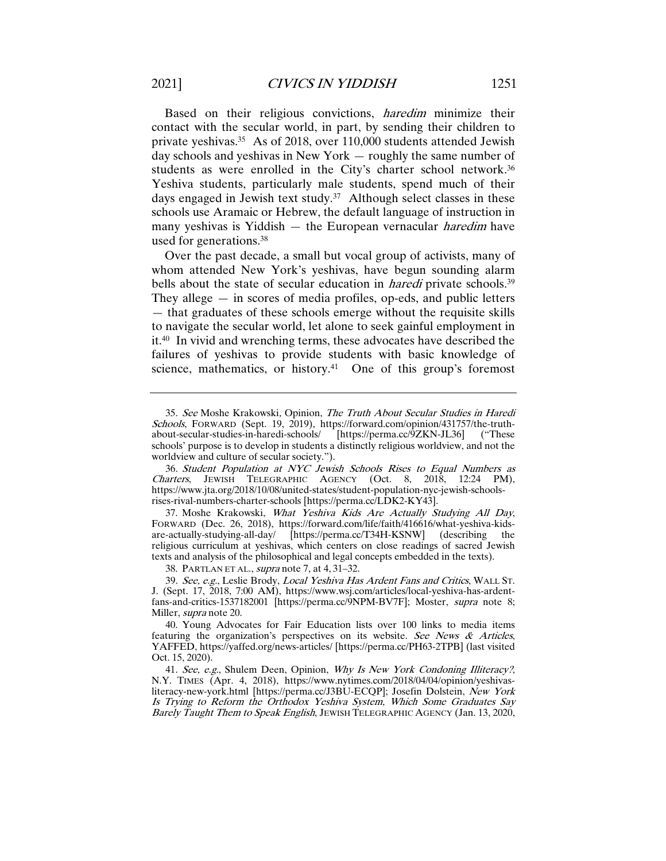Based on their religious convictions, haredim minimize their contact with the secular world, in part, by sending their children to private yeshivas.35 As of 2018, over 110,000 students attended Jewish day schools and yeshivas in New York — roughly the same number of students as were enrolled in the City's charter school network.36 Yeshiva students, particularly male students, spend much of their days engaged in Jewish text study.<sup>37</sup> Although select classes in these schools use Aramaic or Hebrew, the default language of instruction in many yeshivas is Yiddish — the European vernacular *haredim* have used for generations.38

Over the past decade, a small but vocal group of activists, many of whom attended New York's yeshivas, have begun sounding alarm bells about the state of secular education in *haredi* private schools.<sup>39</sup> They allege — in scores of media profiles, op-eds, and public letters — that graduates of these schools emerge without the requisite skills to navigate the secular world, let alone to seek gainful employment in it.40 In vivid and wrenching terms, these advocates have described the failures of yeshivas to provide students with basic knowledge of science, mathematics, or history.<sup>41</sup> One of this group's foremost

37. Moshe Krakowski, What Yeshiva Kids Are Actually Studying All Day, FORWARD (Dec. 26, 2018), https://forward.com/life/faith/416616/what-yeshiva-kidsare-actually-studying-all-day/ [https://perma.cc/T34H-KSNW] (describing the religious curriculum at yeshivas, which centers on close readings of sacred Jewish texts and analysis of the philosophical and legal concepts embedded in the texts).

38. PARTLAN ET AL., supra note 7, at 4, 31–32.

41. See, e.g., Shulem Deen, Opinion, Why Is New York Condoning Illiteracy?, N.Y. TIMES (Apr. 4, 2018), https://www.nytimes.com/2018/04/04/opinion/yeshivasliteracy-new-york.html [https://perma.cc/J3BU-ECQP]; Josefin Dolstein, New York Is Trying to Reform the Orthodox Yeshiva System, Which Some Graduates Say Barely Taught Them to Speak English, JEWISH TELEGRAPHIC AGENCY (Jan. 13, 2020,

<sup>35</sup>. See Moshe Krakowski, Opinion, The Truth About Secular Studies in Haredi Schools, FORWARD (Sept. 19, 2019), https://forward.com/opinion/431757/the-truth-<br>about-secular-studies-in-haredi-schools/ [https://perma.cc/9ZKN-JL36] ("These about-secular-studies-in-haredi-schools/ [https://perma.cc/9ZKN-JL36] schools' purpose is to develop in students a distinctly religious worldview, and not the worldview and culture of secular society.").

<sup>36</sup>. Student Population at NYC Jewish Schools Rises to Equal Numbers as Charters, JEWISH TELEGRAPHIC AGENCY (Oct. 8, 2018, 12:24 PM), https://www.jta.org/2018/10/08/united-states/student-population-nyc-jewish-schoolsrises-rival-numbers-charter-schools [https://perma.cc/LDK2-KY43].

<sup>39</sup>. See, e.g., Leslie Brody, Local Yeshiva Has Ardent Fans and Critics, WALL ST. J. (Sept. 17, 2018, 7:00 AM), https://www.wsj.com/articles/local-yeshiva-has-ardentfans-and-critics-1537182001 [https://perma.cc/9NPM-BV7F]; Moster, supra note 8; Miller, supra note 20.

<sup>40.</sup> Young Advocates for Fair Education lists over 100 links to media items featuring the organization's perspectives on its website. See News  $\&$  Articles, YAFFED, https://yaffed.org/news-articles/ [https://perma.cc/PH63-2TPB] (last visited Oct. 15, 2020).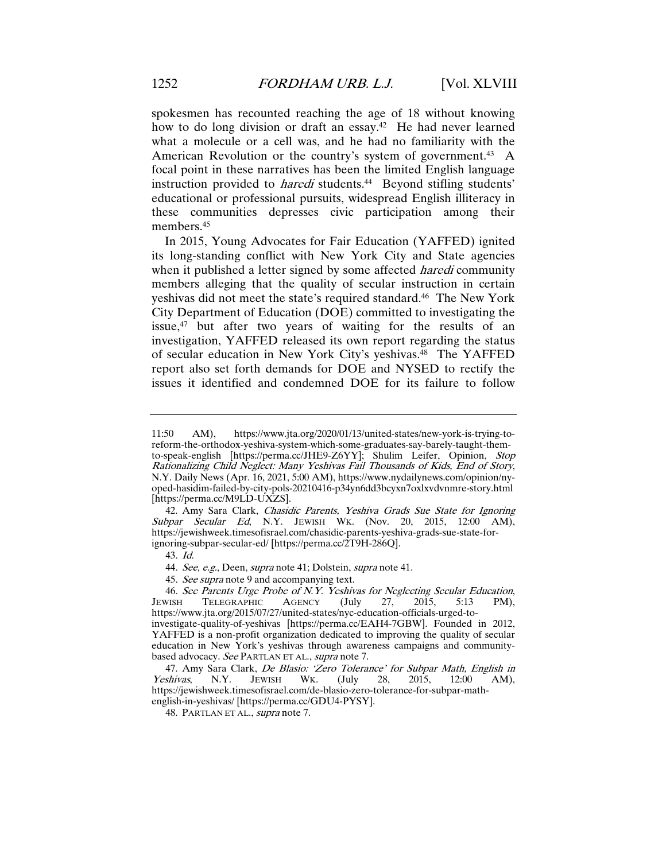spokesmen has recounted reaching the age of 18 without knowing how to do long division or draft an essay.<sup>42</sup> He had never learned what a molecule or a cell was, and he had no familiarity with the American Revolution or the country's system of government.<sup>43</sup> A focal point in these narratives has been the limited English language instruction provided to *haredi* students.<sup>44</sup> Beyond stifling students' educational or professional pursuits, widespread English illiteracy in these communities depresses civic participation among their members.45

In 2015, Young Advocates for Fair Education (YAFFED) ignited its long-standing conflict with New York City and State agencies when it published a letter signed by some affected *haredi* community members alleging that the quality of secular instruction in certain yeshivas did not meet the state's required standard.<sup>46</sup> The New York City Department of Education (DOE) committed to investigating the issue,<sup>47</sup> but after two years of waiting for the results of an investigation, YAFFED released its own report regarding the status of secular education in New York City's yeshivas.48 The YAFFED report also set forth demands for DOE and NYSED to rectify the issues it identified and condemned DOE for its failure to follow

42. Amy Sara Clark, Chasidic Parents, Yeshiva Grads Sue State for Ignoring Subpar Secular Ed, N.Y. JEWISH WK. (Nov. 20, 2015, 12:00 AM), https://jewishweek.timesofisrael.com/chasidic-parents-yeshiva-grads-sue-state-forignoring-subpar-secular-ed/ [https://perma.cc/2T9H-286Q].

43. Id.

44. See, e.g., Deen, supra note 41; Dolstein, supra note 41.

45. See supra note 9 and accompanying text.

46. See Parents Urge Probe of N.Y. Yeshivas for Neglecting Secular Education,<br>JEWISH TELEGRAPHIC AGENCY (July 27, 2015, 5:13 PM), JEWISH TELEGRAPHIC AGENCY (July 27, 2015, 5:13 PM), https://www.jta.org/2015/07/27/united-states/nyc-education-officials-urged-toinvestigate-quality-of-yeshivas [https://perma.cc/EAH4-7GBW]. Founded in 2012, YAFFED is a non-profit organization dedicated to improving the quality of secular education in New York's yeshivas through awareness campaigns and communitybased advocacy. See PARTLAN ET AL., supra note 7.

47. Amy Sara Clark, *De Blasio: 'Zero Tolerance' for Subpar Math, English in Yeshivas*, N.Y. JEWISH WK. (July 28, 2015, 12:00 AM), Yeshivas, N.Y. JEWISH WK. (July 28, 2015, 12:00 AM), https://jewishweek.timesofisrael.com/de-blasio-zero-tolerance-for-subpar-mathenglish-in-yeshivas/ [https://perma.cc/GDU4-PYSY].

48. PARTLAN ET AL., supra note 7.

<sup>11:50</sup> AM), https://www.jta.org/2020/01/13/united-states/new-york-is-trying-toreform-the-orthodox-yeshiva-system-which-some-graduates-say-barely-taught-themto-speak-english [https://perma.cc/JHE9-Z6YY]; Shulim Leifer, Opinion, Stop Rationalizing Child Neglect: Many Yeshivas Fail Thousands of Kids, End of Story, N.Y. Daily News (Apr. 16, 2021, 5:00 AM), https://www.nydailynews.com/opinion/nyoped-hasidim-failed-by-city-pols-20210416-p34yn6dd3bcyxn7oxlxvdvnmre-story.html [https://perma.cc/M9LD-UXZS].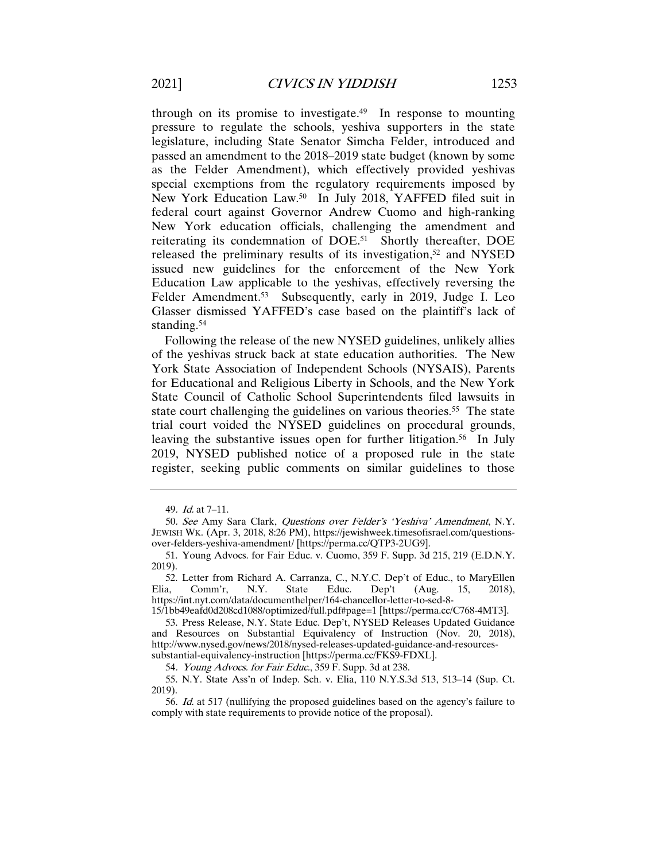through on its promise to investigate.49 In response to mounting pressure to regulate the schools, yeshiva supporters in the state legislature, including State Senator Simcha Felder, introduced and passed an amendment to the 2018–2019 state budget (known by some as the Felder Amendment), which effectively provided yeshivas special exemptions from the regulatory requirements imposed by New York Education Law.50 In July 2018, YAFFED filed suit in federal court against Governor Andrew Cuomo and high-ranking New York education officials, challenging the amendment and reiterating its condemnation of DOE.51 Shortly thereafter, DOE released the preliminary results of its investigation,<sup>52</sup> and NYSED issued new guidelines for the enforcement of the New York Education Law applicable to the yeshivas, effectively reversing the Felder Amendment.<sup>53</sup> Subsequently, early in 2019, Judge I. Leo Glasser dismissed YAFFED's case based on the plaintiff's lack of standing.<sup>54</sup>

Following the release of the new NYSED guidelines, unlikely allies of the yeshivas struck back at state education authorities. The New York State Association of Independent Schools (NYSAIS), Parents for Educational and Religious Liberty in Schools, and the New York State Council of Catholic School Superintendents filed lawsuits in state court challenging the guidelines on various theories.<sup>55</sup> The state trial court voided the NYSED guidelines on procedural grounds, leaving the substantive issues open for further litigation.<sup>56</sup> In July 2019, NYSED published notice of a proposed rule in the state register, seeking public comments on similar guidelines to those

15/1bb49eafd0d208cd1088/optimized/full.pdf#page=1 [https://perma.cc/C768-4MT3].

54. Young Advocs. for Fair Educ., 359 F. Supp. 3d at 238.

55. N.Y. State Ass'n of Indep. Sch. v. Elia, 110 N.Y.S.3d 513, 513–14 (Sup. Ct. 2019).

56. Id. at 517 (nullifying the proposed guidelines based on the agency's failure to comply with state requirements to provide notice of the proposal).

<sup>49</sup>. Id. at 7–11.

<sup>50</sup>. See Amy Sara Clark, Questions over Felder's 'Yeshiva' Amendment, N.Y. JEWISH WK. (Apr. 3, 2018, 8:26 PM), https://jewishweek.timesofisrael.com/questionsover-felders-yeshiva-amendment/ [https://perma.cc/QTP3-2UG9].

<sup>51.</sup> Young Advocs. for Fair Educ. v. Cuomo, 359 F. Supp. 3d 215, 219 (E.D.N.Y. 2019).

<sup>52.</sup> Letter from Richard A. Carranza, C., N.Y.C. Dep't of Educ., to MaryEllen a. Comm'r. N.Y. State Educ. Dep't (Aug. 15, 2018). Elia, Comm'r, N.Y. State Educ. Dep't (Aug. 15, 2018), https://int.nyt.com/data/documenthelper/164-chancellor-letter-to-sed-8-

<sup>53.</sup> Press Release, N.Y. State Educ. Dep't, NYSED Releases Updated Guidance and Resources on Substantial Equivalency of Instruction (Nov. 20, 2018), http://www.nysed.gov/news/2018/nysed-releases-updated-guidance-and-resourcessubstantial-equivalency-instruction [https://perma.cc/FKS9-FDXL].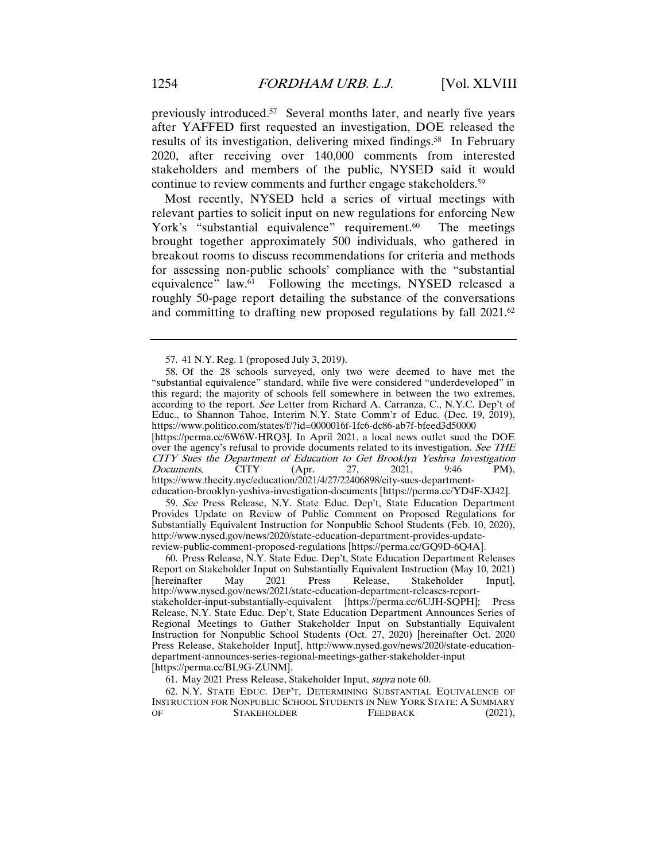previously introduced.57 Several months later, and nearly five years after YAFFED first requested an investigation, DOE released the results of its investigation, delivering mixed findings.<sup>58</sup> In February 2020, after receiving over 140,000 comments from interested stakeholders and members of the public, NYSED said it would continue to review comments and further engage stakeholders.<sup>59</sup>

Most recently, NYSED held a series of virtual meetings with relevant parties to solicit input on new regulations for enforcing New York's "substantial equivalence" requirement.<sup>60</sup> The meetings brought together approximately 500 individuals, who gathered in breakout rooms to discuss recommendations for criteria and methods for assessing non-public schools' compliance with the "substantial equivalence" law.61 Following the meetings, NYSED released a roughly 50-page report detailing the substance of the conversations and committing to drafting new proposed regulations by fall 2021.62

[https://perma.cc/6W6W-HRQ3]. In April 2021, a local news outlet sued the DOE over the agency's refusal to provide documents related to its investigation. See THE CITY Sues the Department of Education to Get Brooklyn Yeshiva Investigation<br>Documents, CITY (Apr. 27, 2021, 9:46 PM). *Documents*, CITY (Apr. 27, 2021, 9:46 PM), https://www.thecity.nyc/education/2021/4/27/22406898/city-sues-departmenteducation-brooklyn-yeshiva-investigation-documents [https://perma.cc/YD4F-XJ42].

59. See Press Release, N.Y. State Educ. Dep't, State Education Department Provides Update on Review of Public Comment on Proposed Regulations for Substantially Equivalent Instruction for Nonpublic School Students (Feb. 10, 2020), http://www.nysed.gov/news/2020/state-education-department-provides-updatereview-public-comment-proposed-regulations [https://perma.cc/GQ9D-6Q4A].

60. Press Release, N.Y. State Educ. Dep't, State Education Department Releases Report on Stakeholder Input on Substantially Equivalent Instruction (May 10, 2021)<br>
[hereinafter May 2021 Press Release, Stakeholder Input], [hereinafter http://www.nysed.gov/news/2021/state-education-department-releases-reportstakeholder-input-substantially-equivalent [https://perma.cc/6UJH-SQPH]; Press Release, N.Y. State Educ. Dep't, State Education Department Announces Series of Regional Meetings to Gather Stakeholder Input on Substantially Equivalent Instruction for Nonpublic School Students (Oct. 27, 2020) [hereinafter Oct. 2020 Press Release, Stakeholder Input], http://www.nysed.gov/news/2020/state-educationdepartment-announces-series-regional-meetings-gather-stakeholder-input [https://perma.cc/BL9G-ZUNM].

61. May 2021 Press Release, Stakeholder Input, supra note 60.

62. N.Y. STATE EDUC. DEP'T, DETERMINING SUBSTANTIAL EQUIVALENCE OF INSTRUCTION FOR NONPUBLIC SCHOOL STUDENTS IN NEW YORK STATE: A SUMMARY OF STAKEHOLDER FEEDBACK (2021),

<sup>57.</sup> 41 N.Y. Reg. 1 (proposed July 3, 2019).

<sup>58.</sup> Of the 28 schools surveyed, only two were deemed to have met the "substantial equivalence" standard, while five were considered "underdeveloped" in this regard; the majority of schools fell somewhere in between the two extremes, according to the report. See Letter from Richard A. Carranza, C., N.Y.C. Dep't of Educ., to Shannon Tahoe, Interim N.Y. State Comm'r of Educ. (Dec. 19, 2019), https://www.politico.com/states/f/?id=0000016f-1fc6-dc86-ab7f-bfeed3d50000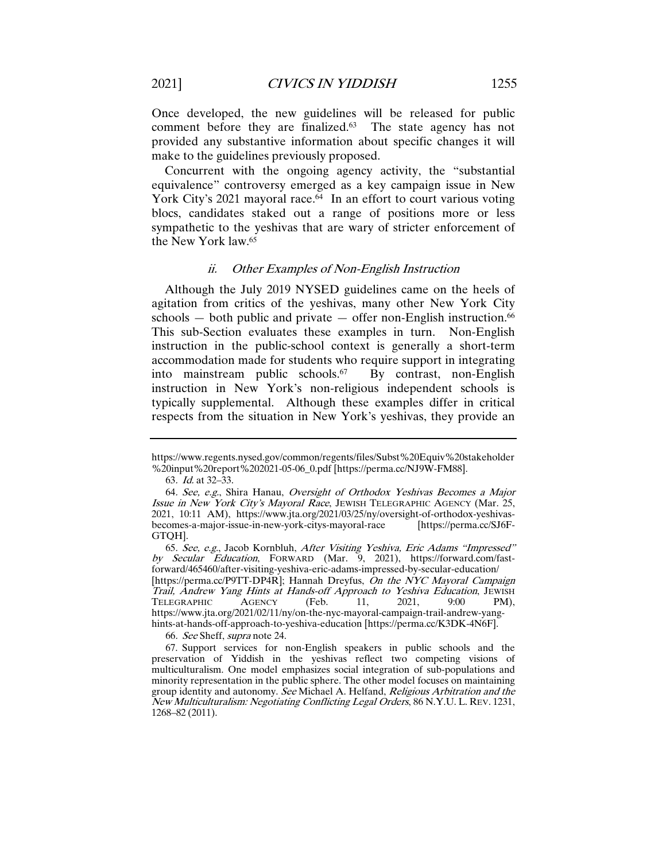Once developed, the new guidelines will be released for public comment before they are finalized.63 The state agency has not provided any substantive information about specific changes it will make to the guidelines previously proposed.

Concurrent with the ongoing agency activity, the "substantial equivalence" controversy emerged as a key campaign issue in New York City's 2021 mayoral race.<sup>64</sup> In an effort to court various voting blocs, candidates staked out a range of positions more or less sympathetic to the yeshivas that are wary of stricter enforcement of the New York law.65

#### ii. Other Examples of Non-English Instruction

Although the July 2019 NYSED guidelines came on the heels of agitation from critics of the yeshivas, many other New York City schools  $-$  both public and private  $-$  offer non-English instruction.<sup>66</sup> This sub-Section evaluates these examples in turn. Non-English instruction in the public-school context is generally a short-term accommodation made for students who require support in integrating into mainstream public schools.67 By contrast, non-English instruction in New York's non-religious independent schools is typically supplemental. Although these examples differ in critical respects from the situation in New York's yeshivas, they provide an

66. See Sheff, supra note 24.

https://www.regents.nysed.gov/common/regents/files/Subst%20Equiv%20stakeholder %20input%20report%202021-05-06\_0.pdf [https://perma.cc/NJ9W-FM88].

<sup>63</sup>. Id. at 32–33.

<sup>64</sup>. See, e.g., Shira Hanau, Oversight of Orthodox Yeshivas Becomes a Major Issue in New York City's Mayoral Race, JEWISH TELEGRAPHIC AGENCY (Mar. 25, 2021, 10:11 AM), https://www.jta.org/2021/03/25/ny/oversight-of-orthodox-yeshivas-<br>becomes-a-major-issue-in-new-york-citys-mayoral-race [https://perma.cc/SJ6Fbecomes-a-major-issue-in-new-york-citys-mayoral-race GTQH].

<sup>65</sup>. See, e.g., Jacob Kornbluh, After Visiting Yeshiva, Eric Adams "Impressed" by Secular Education, FORWARD (Mar. 9, 2021), https://forward.com/fastforward/465460/after-visiting-yeshiva-eric-adams-impressed-by-secular-education/ [https://perma.cc/P9TT-DP4R]; Hannah Dreyfus, On the NYC Mayoral Campaign Trail, Andrew Yang Hints at Hands-off Approach to Yeshiva Education, JEWISH<br>TELEGRAPHIC AGENCY (Feb. 11, 2021, 9:00 PM), TELEGRAPHIC AGENCY (Feb. 11, 2021, 9:00 PM), https://www.jta.org/2021/02/11/ny/on-the-nyc-mayoral-campaign-trail-andrew-yanghints-at-hands-off-approach-to-yeshiva-education [https://perma.cc/K3DK-4N6F].

<sup>67.</sup> Support services for non-English speakers in public schools and the preservation of Yiddish in the yeshivas reflect two competing visions of multiculturalism. One model emphasizes social integration of sub-populations and minority representation in the public sphere. The other model focuses on maintaining group identity and autonomy. See Michael A. Helfand, Religious Arbitration and the New Multiculturalism: Negotiating Conflicting Legal Orders, 86 N.Y.U. L. REV. 1231, 1268–82 (2011).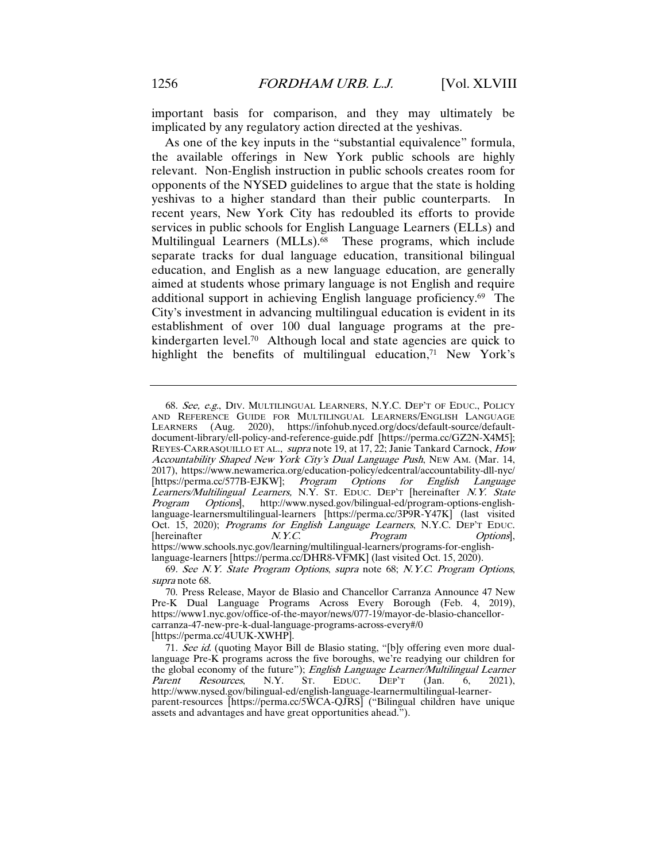important basis for comparison, and they may ultimately be implicated by any regulatory action directed at the yeshivas.

As one of the key inputs in the "substantial equivalence" formula, the available offerings in New York public schools are highly relevant. Non-English instruction in public schools creates room for opponents of the NYSED guidelines to argue that the state is holding yeshivas to a higher standard than their public counterparts. In recent years, New York City has redoubled its efforts to provide services in public schools for English Language Learners (ELLs) and Multilingual Learners (MLLs).<sup>68</sup> These programs, which include separate tracks for dual language education, transitional bilingual education, and English as a new language education, are generally aimed at students whose primary language is not English and require additional support in achieving English language proficiency.69 The City's investment in advancing multilingual education is evident in its establishment of over 100 dual language programs at the prekindergarten level.<sup>70</sup> Although local and state agencies are quick to highlight the benefits of multilingual education, $71$  New York's

<sup>68</sup>. See, e.g., DIV. MULTILINGUAL LEARNERS, N.Y.C. DEP'T OF EDUC., POLICY AND REFERENCE GUIDE FOR MULTILINGUAL LEARNERS/ENGLISH LANGUAGE<br>LEARNERS (Aug. 2020), https://infohub.nyced.org/docs/default-source/default-2020), https://infohub.nyced.org/docs/default-source/defaultdocument-library/ell-policy-and-reference-guide.pdf [https://perma.cc/GZ2N-X4M5]; REYES-CARRASQUILLO ET AL., supra note 19, at 17, 22; Janie Tankard Carnock, How Accountability Shaped New York City's Dual Language Push, NEW AM. (Mar. 14, 2017), https://www.newamerica.org/education-policy/edcentral/accountability-dll-nyc/ [https://perma.cc/577B-EJKW]; Program Options for English Language Learners/Multilingual Learners, N.Y. ST. EDUC. DEP'T [hereinafter N.Y. State Program Options], http://www.nysed.gov/bilingual-ed/program-options-englishlanguage-learnersmultilingual-learners [https://perma.cc/3P9R-Y47K] (last visited Oct. 15, 2020); Programs for English Language Learners, N.Y.C. DEP'T EDUC.<br>[hereinafter  $N. Y.C.$  Program Options]. [hereinafter  $N. Y.C.$  *Program Options*], https://www.schools.nyc.gov/learning/multilingual-learners/programs-for-englishlanguage-learners [https://perma.cc/DHR8-VFMK] (last visited Oct. 15, 2020).

<sup>69</sup>. See N.Y. State Program Options, supra note 68; N.Y.C. Program Options, supra note 68.

<sup>70.</sup> Press Release, Mayor de Blasio and Chancellor Carranza Announce 47 New Pre-K Dual Language Programs Across Every Borough (Feb. 4, 2019), https://www1.nyc.gov/office-of-the-mayor/news/077-19/mayor-de-blasio-chancellorcarranza-47-new-pre-k-dual-language-programs-across-every#/0 [https://perma.cc/4UUK-XWHP].

<sup>71.</sup> See id. (quoting Mayor Bill de Blasio stating, "[b]y offering even more duallanguage Pre-K programs across the five boroughs, we're readying our children for the global economy of the future"); English Language Learner/Multilingual Learner<br>Parent Resources, N.Y. ST. EDUC. DEP'T (Jan. 6, 2021), Parent Resources, N.Y. St. EDUC. DEP'T (Jan. 6, 2021), http://www.nysed.gov/bilingual-ed/english-language-learnermultilingual-learnerparent-resources [https://perma.cc/5WCA-QJRS] ("Bilingual children have unique assets and advantages and have great opportunities ahead.").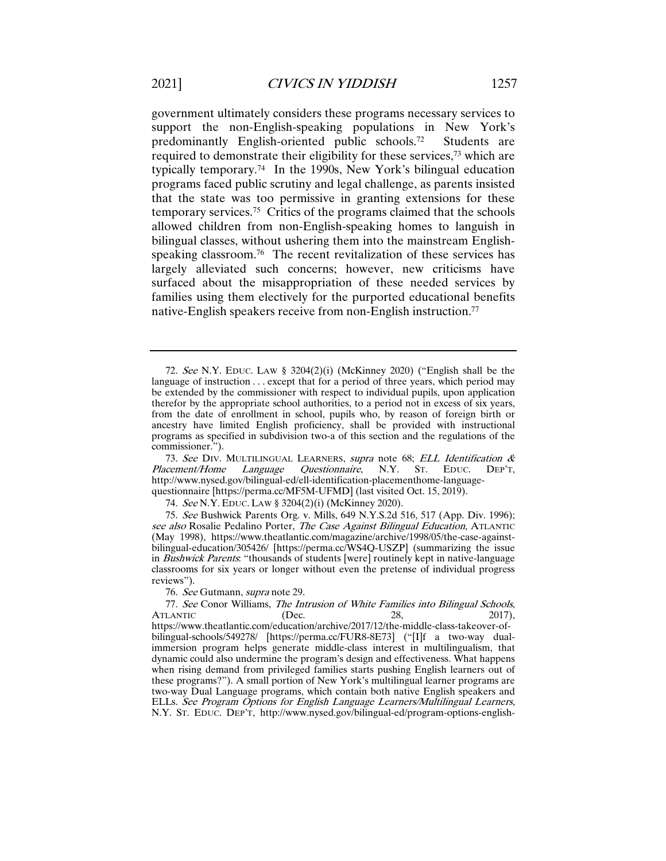government ultimately considers these programs necessary services to support the non-English-speaking populations in New York's predominantly English-oriented public schools.72 Students are required to demonstrate their eligibility for these services,73 which are typically temporary.74 In the 1990s, New York's bilingual education programs faced public scrutiny and legal challenge, as parents insisted that the state was too permissive in granting extensions for these temporary services.75 Critics of the programs claimed that the schools allowed children from non-English-speaking homes to languish in bilingual classes, without ushering them into the mainstream Englishspeaking classroom.<sup>76</sup> The recent revitalization of these services has largely alleviated such concerns; however, new criticisms have surfaced about the misappropriation of these needed services by families using them electively for the purported educational benefits native-English speakers receive from non-English instruction.77

74. See N.Y. EDUC. LAW § 3204(2)(i) (McKinney 2020).

76. See Gutmann, supra note 29.

<sup>72</sup>. See N.Y. EDUC. LAW § 3204(2)(i) (McKinney 2020) ("English shall be the language of instruction . . . except that for a period of three years, which period may be extended by the commissioner with respect to individual pupils, upon application therefor by the appropriate school authorities, to a period not in excess of six years, from the date of enrollment in school, pupils who, by reason of foreign birth or ancestry have limited English proficiency, shall be provided with instructional programs as specified in subdivision two-a of this section and the regulations of the commissioner.").

<sup>73.</sup> See DIV. MULTILINGUAL LEARNERS, supra note 68; ELL Identification & Placement/Home Language Ouestionnaire. N.Y. St. EDUC. DEP'T. Language Questionnaire, N.Y. ST. EDUC. DEP'T, http://www.nysed.gov/bilingual-ed/ell-identification-placementhome-languagequestionnaire [https://perma.cc/MF5M-UFMD] (last visited Oct. 15, 2019).

<sup>75</sup>. See Bushwick Parents Org. v. Mills, 649 N.Y.S.2d 516, 517 (App. Div. 1996); see also Rosalie Pedalino Porter, The Case Against Bilingual Education, ATLANTIC (May 1998), https://www.theatlantic.com/magazine/archive/1998/05/the-case-againstbilingual-education/305426/ [https://perma.cc/WS4Q-USZP] (summarizing the issue in *Bushwick Parents*: "thousands of students [were] routinely kept in native-language classrooms for six years or longer without even the pretense of individual progress reviews").

<sup>77.</sup> See Conor Williams, The Intrusion of White Families into Bilingual Schools, ATLANTIC (Dec. 28, 2017), ATLANTIC  $(Dec. 28, 2017),$ https://www.theatlantic.com/education/archive/2017/12/the-middle-class-takeover-ofbilingual-schools/549278/ [https://perma.cc/FUR8-8E73] ("[I]f a two-way dualimmersion program helps generate middle-class interest in multilingualism, that dynamic could also undermine the program's design and effectiveness. What happens when rising demand from privileged families starts pushing English learners out of these programs?"). A small portion of New York's multilingual learner programs are two-way Dual Language programs, which contain both native English speakers and ELLs. See Program Options for English Language Learners/Multilingual Learners, N.Y. ST. EDUC. DEP'T, http://www.nysed.gov/bilingual-ed/program-options-english-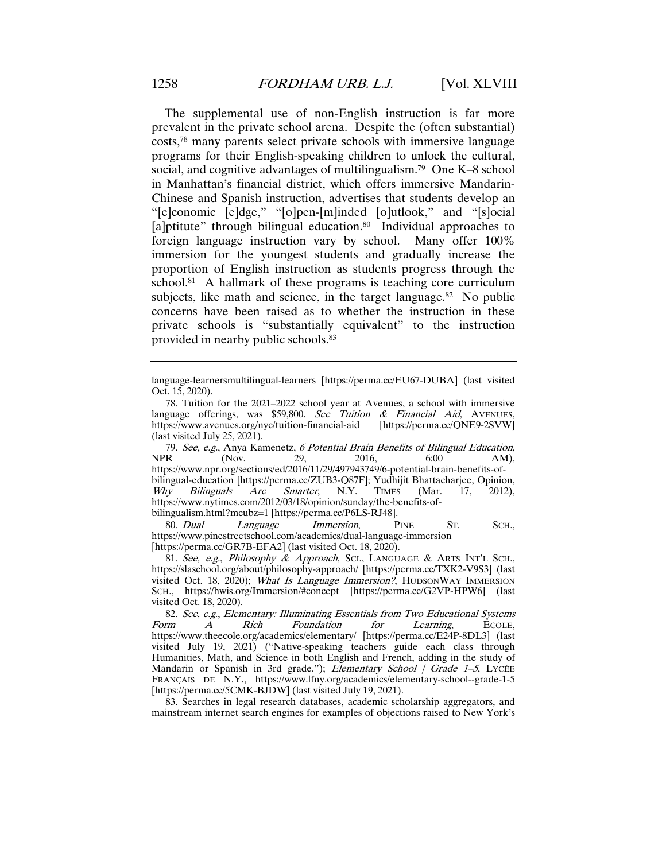The supplemental use of non-English instruction is far more prevalent in the private school arena. Despite the (often substantial) costs,78 many parents select private schools with immersive language programs for their English-speaking children to unlock the cultural, social, and cognitive advantages of multilingualism.79 One K–8 school in Manhattan's financial district, which offers immersive Mandarin-Chinese and Spanish instruction, advertises that students develop an "[e]conomic [e]dge," "[o]pen-[m]inded [o]utlook," and "[s]ocial [a]ptitute" through bilingual education.<sup>80</sup> Individual approaches to foreign language instruction vary by school. Many offer 100% immersion for the youngest students and gradually increase the proportion of English instruction as students progress through the school. $81$  A hallmark of these programs is teaching core curriculum subjects, like math and science, in the target language.<sup>82</sup> No public concerns have been raised as to whether the instruction in these private schools is "substantially equivalent" to the instruction provided in nearby public schools.83

79. See, e.g., Anya Kamenetz, 6 Potential Brain Benefits of Bilingual Education, NPR (Nov. 29, 2016, 6:00 AM), NPR (Nov. 29, 2016, 6:00 AM), https://www.npr.org/sections/ed/2016/11/29/497943749/6-potential-brain-benefits-ofbilingual-education [https://perma.cc/ZUB3-Q87F]; Yudhijit Bhattacharjee, Opinion, *Why Bilinguals Are Smarter*, N.Y. TIMES (Mar. 17, 2012), Why Bilinguals Are Smarter, N.Y. TIMES (Mar. 17, 2012), https://www.nytimes.com/2012/03/18/opinion/sunday/the-benefits-ofbilingualism.html?mcubz=1 [https://perma.cc/P6LS-RJ48].

80. Dual Language Immersion, PINE ST. SCH., https://www.pinestreetschool.com/academics/dual-language-immersion [https://perma.cc/GR7B-EFA2] (last visited Oct. 18, 2020).

81. See, e.g., Philosophy & Approach, SCI., LANGUAGE & ARTS INT'L SCH., https://slaschool.org/about/philosophy-approach/ [https://perma.cc/TXK2-V9S3] (last visited Oct. 18, 2020); What Is Language Immersion?, HUDSONWAY IMMERSION SCH., https://hwis.org/Immersion/#concept [https://perma.cc/G2VP-HPW6] (last visited Oct. 18, 2020).

82. See, e.g., Elementary: Illuminating Essentials from Two Educational Systems Form A Rich Foundation for Learning, ECOLE, https://www.theecole.org/academics/elementary/ [https://perma.cc/E24P-8DL3] (last visited July 19, 2021) ("Native-speaking teachers guide each class through Humanities, Math, and Science in both English and French, adding in the study of Mandarin or Spanish in 3rd grade."); Elementary School / Grade 1-5, LYCÉE FRANÇAIS DE N.Y., https://www.lfny.org/academics/elementary-school--grade-1-5 [https://perma.cc/5CMK-BJDW] (last visited July 19, 2021).

83. Searches in legal research databases, academic scholarship aggregators, and mainstream internet search engines for examples of objections raised to New York's

language-learnersmultilingual-learners [https://perma.cc/EU67-DUBA] (last visited Oct. 15, 2020).

<sup>78.</sup> Tuition for the 2021–2022 school year at Avenues, a school with immersive language offerings, was \$59,800. See Tuition & Financial Aid, AVENUES, https://www.avenues.org/nyc/tuition-financial-aid [https://perma.cc/QNE9-2SVW] https://www.avenues.org/nyc/tuition-financial-aid (last visited July 25, 2021).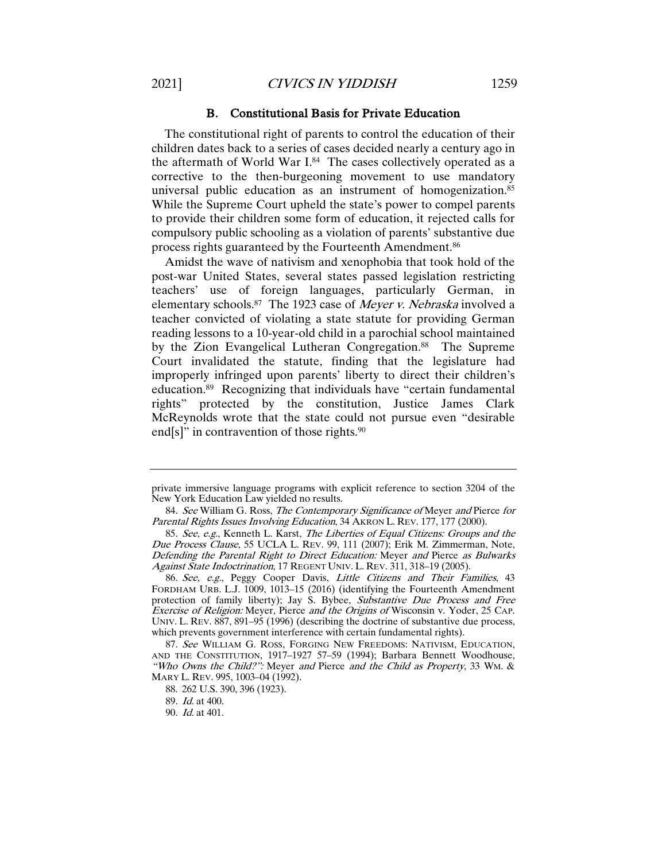#### B. Constitutional Basis for Private Education

The constitutional right of parents to control the education of their children dates back to a series of cases decided nearly a century ago in the aftermath of World War I.84 The cases collectively operated as a corrective to the then-burgeoning movement to use mandatory universal public education as an instrument of homogenization.<sup>85</sup> While the Supreme Court upheld the state's power to compel parents to provide their children some form of education, it rejected calls for compulsory public schooling as a violation of parents' substantive due process rights guaranteed by the Fourteenth Amendment.86

Amidst the wave of nativism and xenophobia that took hold of the post-war United States, several states passed legislation restricting teachers' use of foreign languages, particularly German, in elementary schools.<sup>87</sup> The 1923 case of *Meyer v. Nebraska* involved a teacher convicted of violating a state statute for providing German reading lessons to a 10-year-old child in a parochial school maintained by the Zion Evangelical Lutheran Congregation.<sup>88</sup> The Supreme Court invalidated the statute, finding that the legislature had improperly infringed upon parents' liberty to direct their children's education.89 Recognizing that individuals have "certain fundamental rights" protected by the constitution, Justice James Clark McReynolds wrote that the state could not pursue even "desirable end[s]" in contravention of those rights. $90$ 

private immersive language programs with explicit reference to section 3204 of the New York Education Law yielded no results.

<sup>84.</sup> See William G. Ross, The Contemporary Significance of Meyer and Pierce for Parental Rights Issues Involving Education, 34 AKRON L. REV. 177, 177 (2000).

<sup>85</sup>. See, e.g., Kenneth L. Karst, The Liberties of Equal Citizens: Groups and the Due Process Clause, 55 UCLA L. REV. 99, 111 (2007); Erik M. Zimmerman, Note, Defending the Parental Right to Direct Education: Meyer and Pierce as Bulwarks Against State Indoctrination, 17 REGENT UNIV. L. REV. 311, 318-19 (2005).

<sup>86</sup>. See, e.g., Peggy Cooper Davis, Little Citizens and Their Families, 43 FORDHAM URB. L.J. 1009, 1013–15 (2016) (identifying the Fourteenth Amendment protection of family liberty); Jay S. Bybee, Substantive Due Process and Free Exercise of Religion: Meyer, Pierce and the Origins of Wisconsin v. Yoder, 25 CAP. UNIV. L. REV. 887, 891–95 (1996) (describing the doctrine of substantive due process, which prevents government interference with certain fundamental rights).

<sup>87</sup>. See WILLIAM G. ROSS, FORGING NEW FREEDOMS: NATIVISM, EDUCATION, AND THE CONSTITUTION, 1917–1927 57–59 (1994); Barbara Bennett Woodhouse, "Who Owns the Child?": Meyer and Pierce and the Child as Property, 33 WM. & MARY L. REV. 995, 1003–04 (1992).

<sup>88.</sup> 262 U.S. 390, 396 (1923).

<sup>89</sup>. Id. at 400.

<sup>90</sup>. Id. at 401.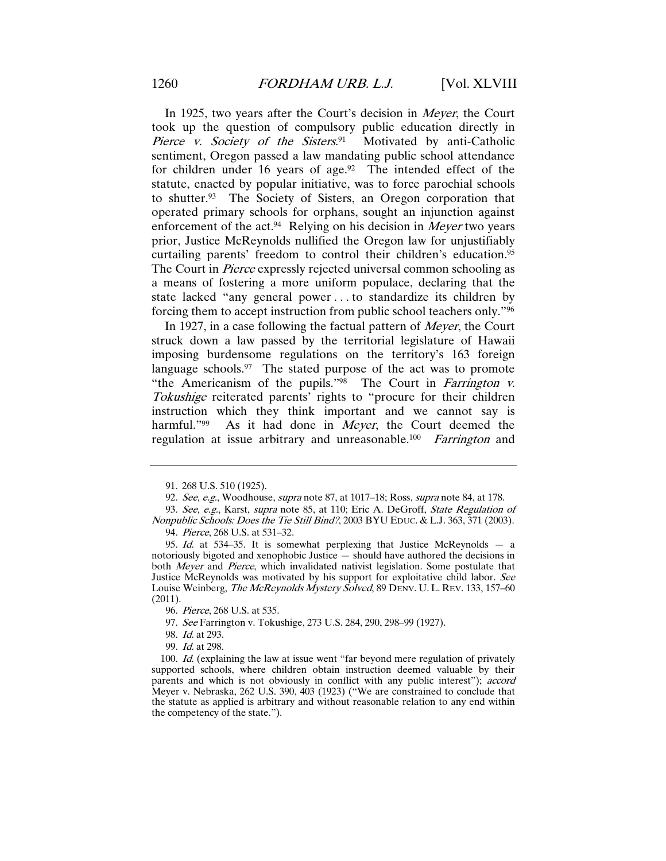In 1925, two years after the Court's decision in Meyer, the Court took up the question of compulsory public education directly in Pierce v. Society of the Sisters.<sup>91</sup> Motivated by anti-Catholic sentiment, Oregon passed a law mandating public school attendance for children under 16 years of age. $92$  The intended effect of the statute, enacted by popular initiative, was to force parochial schools to shutter.93 The Society of Sisters, an Oregon corporation that operated primary schools for orphans, sought an injunction against enforcement of the act.<sup>94</sup> Relying on his decision in *Meyer* two years prior, Justice McReynolds nullified the Oregon law for unjustifiably curtailing parents' freedom to control their children's education.<sup>95</sup> The Court in *Pierce* expressly rejected universal common schooling as a means of fostering a more uniform populace, declaring that the state lacked "any general power . . . to standardize its children by forcing them to accept instruction from public school teachers only."96

In 1927, in a case following the factual pattern of *Meyer*, the Court struck down a law passed by the territorial legislature of Hawaii imposing burdensome regulations on the territory's 163 foreign language schools.<sup>97</sup> The stated purpose of the act was to promote "the Americanism of the pupils."<sup>98</sup> The Court in *Farrington v.* Tokushige reiterated parents' rights to "procure for their children instruction which they think important and we cannot say is harmful."<sup>99</sup> As it had done in *Meyer*, the Court deemed the regulation at issue arbitrary and unreasonable.<sup>100</sup> Farrington and

98. Id. at 293.

99. Id. at 298.

<sup>91</sup>. 268 U.S. 510 (1925).

<sup>92.</sup> See, e.g., Woodhouse, supra note 87, at 1017–18; Ross, supra note 84, at 178.

<sup>93.</sup> See, e.g., Karst, supra note 85, at 110; Eric A. DeGroff, State Regulation of Nonpublic Schools: Does the Tie Still Bind?, 2003 BYU EDUC. & L.J. 363, 371 (2003). 94. Pierce, 268 U.S. at 531–32.

<sup>95</sup>. Id. at 534–35. It is somewhat perplexing that Justice McReynolds — a notoriously bigoted and xenophobic Justice — should have authored the decisions in both Meyer and Pierce, which invalidated nativist legislation. Some postulate that Justice McReynolds was motivated by his support for exploitative child labor. See Louise Weinberg, *The McReynolds Mystery Solved*, 89 DENV. U. L. REV. 133, 157–60 (2011).

<sup>96</sup>. Pierce, 268 U.S. at 535.

<sup>97</sup>. See Farrington v. Tokushige, 273 U.S. 284, 290, 298–99 (1927).

<sup>100.</sup> Id. (explaining the law at issue went "far beyond mere regulation of privately supported schools, where children obtain instruction deemed valuable by their parents and which is not obviously in conflict with any public interest"); *accord* Meyer v. Nebraska, 262 U.S. 390, 403 (1923) ("We are constrained to conclude that the statute as applied is arbitrary and without reasonable relation to any end within the competency of the state.").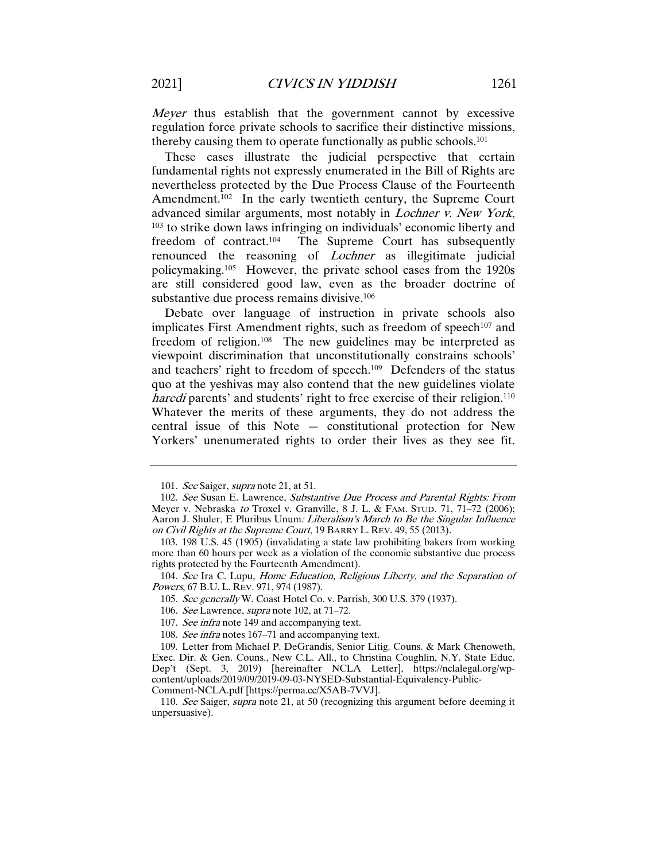Meyer thus establish that the government cannot by excessive regulation force private schools to sacrifice their distinctive missions, thereby causing them to operate functionally as public schools.101

These cases illustrate the judicial perspective that certain fundamental rights not expressly enumerated in the Bill of Rights are nevertheless protected by the Due Process Clause of the Fourteenth Amendment.102 In the early twentieth century, the Supreme Court advanced similar arguments, most notably in Lochner v. New York, <sup>103</sup> to strike down laws infringing on individuals' economic liberty and freedom of contract.104 The Supreme Court has subsequently renounced the reasoning of Lochner as illegitimate judicial policymaking.105 However, the private school cases from the 1920s are still considered good law, even as the broader doctrine of substantive due process remains divisive.<sup>106</sup>

Debate over language of instruction in private schools also implicates First Amendment rights, such as freedom of speech<sup>107</sup> and freedom of religion.108 The new guidelines may be interpreted as viewpoint discrimination that unconstitutionally constrains schools' and teachers' right to freedom of speech.109 Defenders of the status quo at the yeshivas may also contend that the new guidelines violate haredi parents' and students' right to free exercise of their religion.<sup>110</sup> Whatever the merits of these arguments, they do not address the central issue of this Note — constitutional protection for New Yorkers' unenumerated rights to order their lives as they see fit.

<sup>101.</sup> See Saiger, *supra* note 21, at 51.

<sup>102.</sup> See Susan E. Lawrence, Substantive Due Process and Parental Rights: From Meyer v. Nebraska to Troxel v. Granville, 8 J. L. & FAM. STUD. 71, 71–72 (2006); Aaron J. Shuler, E Pluribus Unum: Liberalism's March to Be the Singular Influence on Civil Rights at the Supreme Court, 19 BARRY L. REV. 49, 55 (2013).

<sup>103.</sup> 198 U.S. 45 (1905) (invalidating a state law prohibiting bakers from working more than 60 hours per week as a violation of the economic substantive due process rights protected by the Fourteenth Amendment).

<sup>104</sup>. See Ira C. Lupu, Home Education, Religious Liberty, and the Separation of Powers, 67 B.U. L. REV. 971, 974 (1987).

<sup>105</sup>. See generally W. Coast Hotel Co. v. Parrish, 300 U.S. 379 (1937).

<sup>106</sup>. See Lawrence, supra note 102, at 71–72.

<sup>107</sup>. See infra note 149 and accompanying text.

<sup>108.</sup> See infra notes 167–71 and accompanying text.

<sup>109.</sup> Letter from Michael P. DeGrandis, Senior Litig. Couns. & Mark Chenoweth, Exec. Dir. & Gen. Couns., New C.L. All., to Christina Coughlin, N.Y. State Educ. Dep't (Sept. 3, 2019) [hereinafter NCLA Letter], https://nclalegal.org/wpcontent/uploads/2019/09/2019-09-03-NYSED-Substantial-Equivalency-Public-Comment-NCLA.pdf [https://perma.cc/X5AB-7VVJ].

<sup>110.</sup> See Saiger, supra note 21, at 50 (recognizing this argument before deeming it unpersuasive).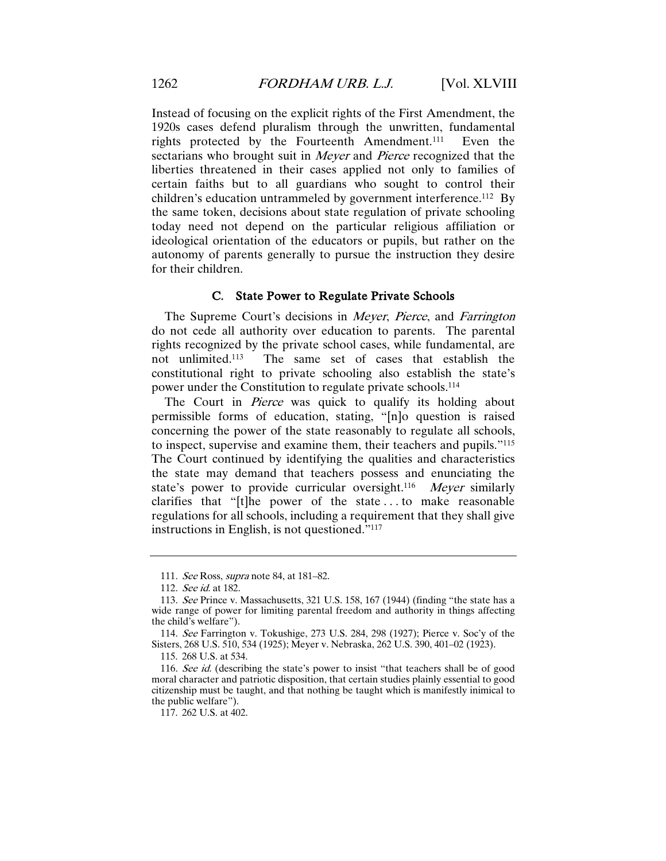Instead of focusing on the explicit rights of the First Amendment, the 1920s cases defend pluralism through the unwritten, fundamental rights protected by the Fourteenth Amendment.111 Even the sectarians who brought suit in *Meyer* and *Pierce* recognized that the liberties threatened in their cases applied not only to families of certain faiths but to all guardians who sought to control their children's education untrammeled by government interference.112 By the same token, decisions about state regulation of private schooling today need not depend on the particular religious affiliation or ideological orientation of the educators or pupils, but rather on the autonomy of parents generally to pursue the instruction they desire for their children.

#### C. State Power to Regulate Private Schools

The Supreme Court's decisions in Meyer, Pierce, and Farrington do not cede all authority over education to parents. The parental rights recognized by the private school cases, while fundamental, are<br>not unlimited.<sup>113</sup> The same set of cases that establish the The same set of cases that establish the constitutional right to private schooling also establish the state's power under the Constitution to regulate private schools.114

The Court in *Pierce* was quick to qualify its holding about permissible forms of education, stating, "[n]o question is raised concerning the power of the state reasonably to regulate all schools, to inspect, supervise and examine them, their teachers and pupils."115 The Court continued by identifying the qualities and characteristics the state may demand that teachers possess and enunciating the state's power to provide curricular oversight.<sup>116</sup> Meyer similarly clarifies that "[t]he power of the state . . . to make reasonable regulations for all schools, including a requirement that they shall give instructions in English, is not questioned."117

<sup>111</sup>. See Ross, supra note 84, at 181–82.

<sup>112</sup>. See id. at 182.

<sup>113</sup>. See Prince v. Massachusetts, 321 U.S. 158, 167 (1944) (finding "the state has a wide range of power for limiting parental freedom and authority in things affecting the child's welfare").

<sup>114</sup>. See Farrington v. Tokushige, 273 U.S. 284, 298 (1927); Pierce v. Soc'y of the Sisters, 268 U.S. 510, 534 (1925); Meyer v. Nebraska, 262 U.S. 390, 401–02 (1923).

<sup>115.</sup> 268 U.S. at 534.

<sup>116.</sup> See id. (describing the state's power to insist "that teachers shall be of good moral character and patriotic disposition, that certain studies plainly essential to good citizenship must be taught, and that nothing be taught which is manifestly inimical to the public welfare").

<sup>117.</sup> 262 U.S. at 402.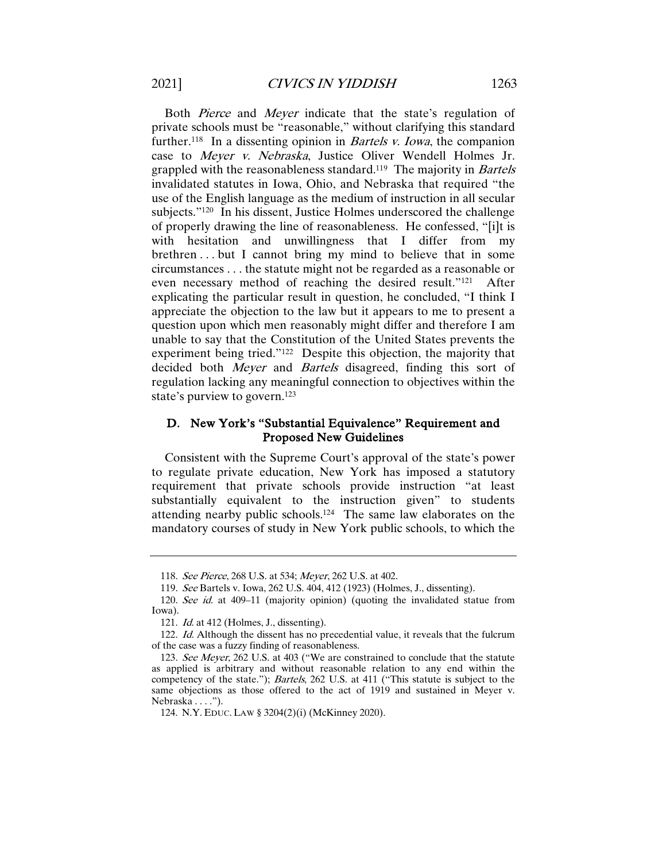Both Pierce and Meyer indicate that the state's regulation of private schools must be "reasonable," without clarifying this standard further.<sup>118</sup> In a dissenting opinion in *Bartels v. Iowa*, the companion case to Meyer v. Nebraska, Justice Oliver Wendell Holmes Jr. grappled with the reasonableness standard.<sup>119</sup> The majority in *Bartels* invalidated statutes in Iowa, Ohio, and Nebraska that required "the use of the English language as the medium of instruction in all secular subjects."120 In his dissent, Justice Holmes underscored the challenge of properly drawing the line of reasonableness. He confessed, "[i]t is with hesitation and unwillingness that I differ from my brethren . . . but I cannot bring my mind to believe that in some circumstances . . . the statute might not be regarded as a reasonable or even necessary method of reaching the desired result."121 After explicating the particular result in question, he concluded, "I think I appreciate the objection to the law but it appears to me to present a question upon which men reasonably might differ and therefore I am unable to say that the Constitution of the United States prevents the experiment being tried."122 Despite this objection, the majority that decided both *Meyer* and *Bartels* disagreed, finding this sort of regulation lacking any meaningful connection to objectives within the state's purview to govern.123

# D. New York's "Substantial Equivalence" Requirement and Proposed New Guidelines

Consistent with the Supreme Court's approval of the state's power to regulate private education, New York has imposed a statutory requirement that private schools provide instruction "at least substantially equivalent to the instruction given" to students attending nearby public schools.124 The same law elaborates on the mandatory courses of study in New York public schools, to which the

<sup>118</sup>. See Pierce, 268 U.S. at 534; Meyer, 262 U.S. at 402.

<sup>119</sup>. See Bartels v. Iowa, 262 U.S. 404, 412 (1923) (Holmes, J., dissenting).

<sup>120</sup>. See id. at 409–11 (majority opinion) (quoting the invalidated statue from Iowa).

<sup>121</sup>. Id. at 412 (Holmes, J., dissenting).

<sup>122.</sup> Id. Although the dissent has no precedential value, it reveals that the fulcrum of the case was a fuzzy finding of reasonableness.

<sup>123.</sup> See Meyer, 262 U.S. at 403 ("We are constrained to conclude that the statute as applied is arbitrary and without reasonable relation to any end within the competency of the state."); Bartels, 262 U.S. at 411 ("This statute is subject to the same objections as those offered to the act of 1919 and sustained in Meyer v. Nebraska . . . .").

<sup>124.</sup> N.Y. EDUC. LAW § 3204(2)(i) (McKinney 2020).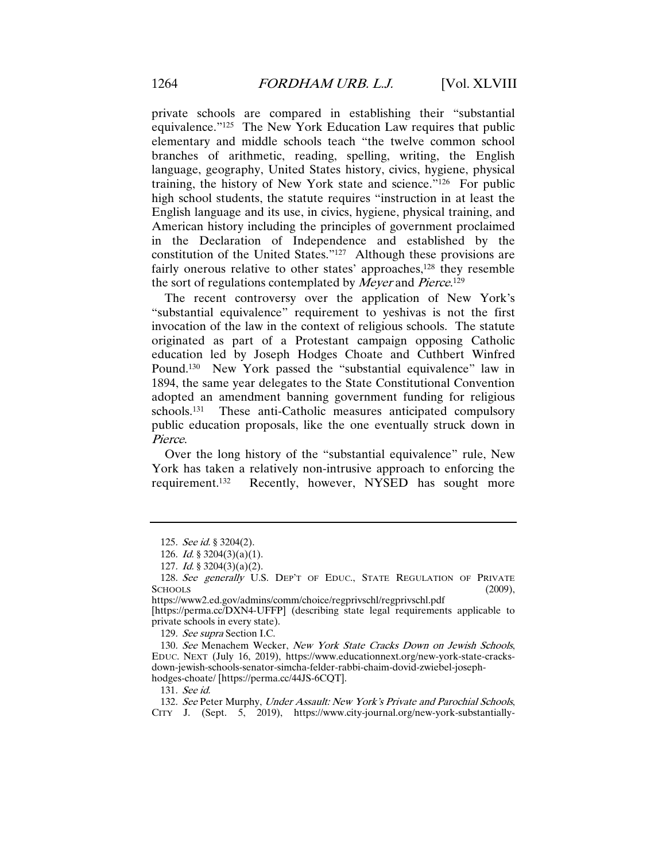private schools are compared in establishing their "substantial equivalence."125 The New York Education Law requires that public elementary and middle schools teach "the twelve common school branches of arithmetic, reading, spelling, writing, the English language, geography, United States history, civics, hygiene, physical training, the history of New York state and science."126 For public high school students, the statute requires "instruction in at least the English language and its use, in civics, hygiene, physical training, and American history including the principles of government proclaimed in the Declaration of Independence and established by the constitution of the United States."127 Although these provisions are fairly onerous relative to other states' approaches,<sup>128</sup> they resemble the sort of regulations contemplated by *Meyer* and *Pierce*.<sup>129</sup>

The recent controversy over the application of New York's "substantial equivalence" requirement to yeshivas is not the first invocation of the law in the context of religious schools. The statute originated as part of a Protestant campaign opposing Catholic education led by Joseph Hodges Choate and Cuthbert Winfred Pound.<sup>130</sup> New York passed the "substantial equivalence" law in 1894, the same year delegates to the State Constitutional Convention adopted an amendment banning government funding for religious schools.131 These anti-Catholic measures anticipated compulsory public education proposals, like the one eventually struck down in Pierce.

Over the long history of the "substantial equivalence" rule, New York has taken a relatively non-intrusive approach to enforcing the requirement.132 Recently, however, NYSED has sought more

129. See supra Section I.C.

131. See id.

<sup>125</sup>. See id. § 3204(2).

<sup>126.</sup> *Id.* § 3204 $(3)(a)(1)$ .

<sup>127.</sup> *Id.* § 3204 $(3)(a)(2)$ .

<sup>128.</sup> See generally U.S. DEP'T OF EDUC., STATE REGULATION OF PRIVATE  $S$ CHOOLS  $(2009)$ ,

https://www2.ed.gov/admins/comm/choice/regprivschl/regprivschl.pdf [https://perma.cc/DXN4-UFFP] (describing state legal requirements applicable to private schools in every state).

<sup>130</sup>. See Menachem Wecker, New York State Cracks Down on Jewish Schools, EDUC. NEXT (July 16, 2019), https://www.educationnext.org/new-york-state-cracksdown-jewish-schools-senator-simcha-felder-rabbi-chaim-dovid-zwiebel-josephhodges-choate/ [https://perma.cc/44JS-6CQT].

<sup>132</sup>. See Peter Murphy, Under Assault: New York's Private and Parochial Schools, CITY J. (Sept. 5, 2019), https://www.city-journal.org/new-york-substantially-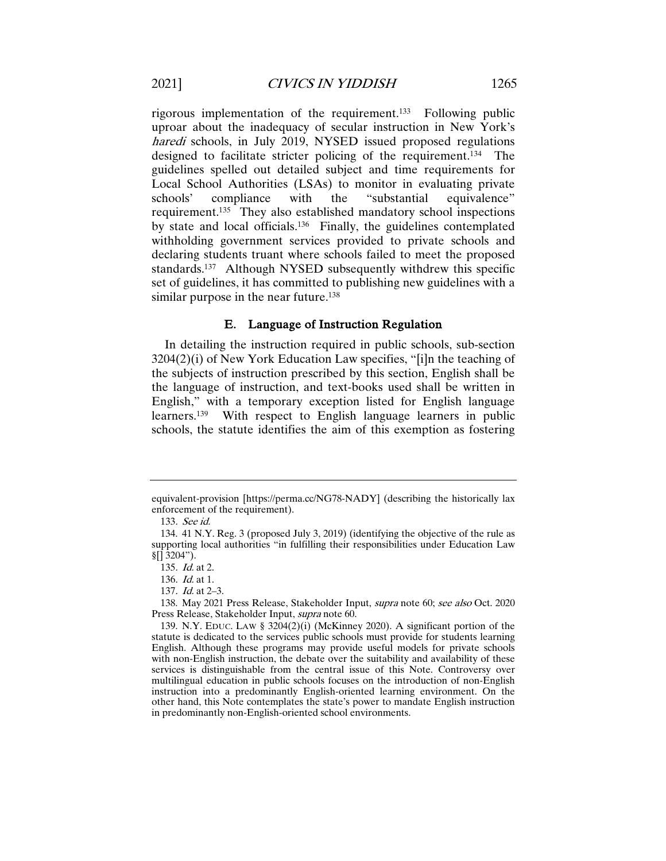rigorous implementation of the requirement.133 Following public uproar about the inadequacy of secular instruction in New York's haredi schools, in July 2019, NYSED issued proposed regulations designed to facilitate stricter policing of the requirement.134 The guidelines spelled out detailed subject and time requirements for Local School Authorities (LSAs) to monitor in evaluating private schools' compliance with the "substantial equivalence" requirement.135 They also established mandatory school inspections by state and local officials.136 Finally, the guidelines contemplated withholding government services provided to private schools and declaring students truant where schools failed to meet the proposed standards. 137 Although NYSED subsequently withdrew this specific set of guidelines, it has committed to publishing new guidelines with a similar purpose in the near future.<sup>138</sup>

#### E. Language of Instruction Regulation

In detailing the instruction required in public schools, sub-section 3204(2)(i) of New York Education Law specifies, "[i]n the teaching of the subjects of instruction prescribed by this section, English shall be the language of instruction, and text-books used shall be written in English," with a temporary exception listed for English language learners.139 With respect to English language learners in public schools, the statute identifies the aim of this exemption as fostering

equivalent-provision [https://perma.cc/NG78-NADY] (describing the historically lax enforcement of the requirement).

<sup>133</sup>. See id.

<sup>134.</sup> 41 N.Y. Reg. 3 (proposed July 3, 2019) (identifying the objective of the rule as supporting local authorities "in fulfilling their responsibilities under Education Law  $\frac{1}{2}$ []  $\frac{3}{204}$ ").

<sup>135</sup>. Id. at 2.

<sup>136</sup>. Id. at 1.

<sup>137</sup>. Id. at 2–3.

<sup>138.</sup> May 2021 Press Release, Stakeholder Input, supra note 60; see also Oct. 2020 Press Release, Stakeholder Input, supra note 60.

<sup>139.</sup> N.Y. EDUC. LAW § 3204(2)(i) (McKinney 2020). A significant portion of the statute is dedicated to the services public schools must provide for students learning English. Although these programs may provide useful models for private schools with non-English instruction, the debate over the suitability and availability of these services is distinguishable from the central issue of this Note. Controversy over multilingual education in public schools focuses on the introduction of non-English instruction into a predominantly English-oriented learning environment. On the other hand, this Note contemplates the state's power to mandate English instruction in predominantly non-English-oriented school environments.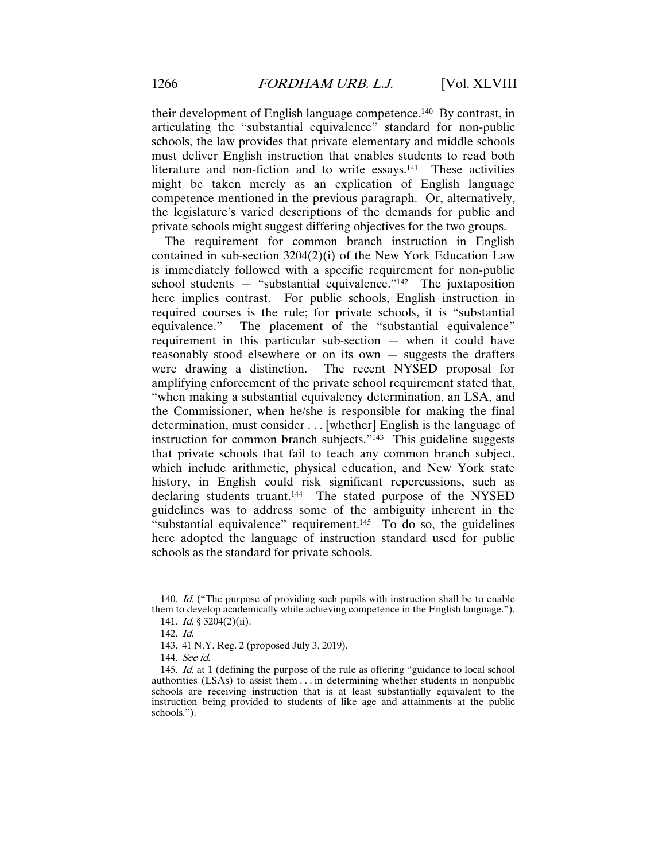their development of English language competence.140 By contrast, in articulating the "substantial equivalence" standard for non-public schools, the law provides that private elementary and middle schools must deliver English instruction that enables students to read both literature and non-fiction and to write essays.<sup>141</sup> These activities might be taken merely as an explication of English language competence mentioned in the previous paragraph. Or, alternatively, the legislature's varied descriptions of the demands for public and private schools might suggest differing objectives for the two groups.

The requirement for common branch instruction in English contained in sub-section 3204(2)(i) of the New York Education Law is immediately followed with a specific requirement for non-public school students — "substantial equivalence."<sup>142</sup> The juxtaposition here implies contrast. For public schools, English instruction in required courses is the rule; for private schools, it is "substantial equivalence." The placement of the "substantial equivalence" The placement of the "substantial equivalence" requirement in this particular sub-section — when it could have reasonably stood elsewhere or on its own — suggests the drafters were drawing a distinction. The recent NYSED proposal for amplifying enforcement of the private school requirement stated that, "when making a substantial equivalency determination, an LSA, and the Commissioner, when he/she is responsible for making the final determination, must consider . . . [whether] English is the language of instruction for common branch subjects."<sup>143</sup> This guideline suggests that private schools that fail to teach any common branch subject, which include arithmetic, physical education, and New York state history, in English could risk significant repercussions, such as declaring students truant.<sup>144</sup> The stated purpose of the NYSED guidelines was to address some of the ambiguity inherent in the "substantial equivalence" requirement. $145$  To do so, the guidelines here adopted the language of instruction standard used for public schools as the standard for private schools.

<sup>140</sup>. Id. ("The purpose of providing such pupils with instruction shall be to enable them to develop academically while achieving competence in the English language.").

<sup>141</sup>. Id. § 3204(2)(ii).

<sup>142</sup>. Id.

<sup>143.</sup> 41 N.Y. Reg. 2 (proposed July 3, 2019).

<sup>144</sup>. See id.

<sup>145</sup>. Id. at 1 (defining the purpose of the rule as offering "guidance to local school authorities (LSAs) to assist them . . . in determining whether students in nonpublic schools are receiving instruction that is at least substantially equivalent to the instruction being provided to students of like age and attainments at the public schools.").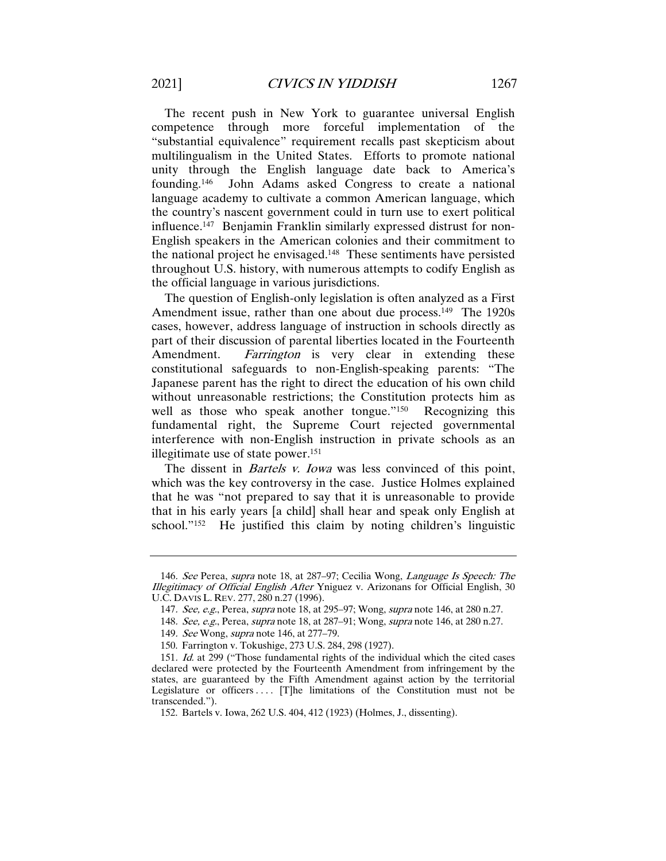The recent push in New York to guarantee universal English competence through more forceful implementation of the "substantial equivalence" requirement recalls past skepticism about multilingualism in the United States. Efforts to promote national unity through the English language date back to America's founding.<sup>146</sup> John Adams asked Congress to create a national John Adams asked Congress to create a national language academy to cultivate a common American language, which the country's nascent government could in turn use to exert political influence.147 Benjamin Franklin similarly expressed distrust for non-English speakers in the American colonies and their commitment to the national project he envisaged.148 These sentiments have persisted throughout U.S. history, with numerous attempts to codify English as the official language in various jurisdictions.

The question of English-only legislation is often analyzed as a First Amendment issue, rather than one about due process.<sup>149</sup> The 1920s cases, however, address language of instruction in schools directly as part of their discussion of parental liberties located in the Fourteenth Amendment. *Farrington* is very clear in extending these constitutional safeguards to non-English-speaking parents: "The Japanese parent has the right to direct the education of his own child without unreasonable restrictions; the Constitution protects him as well as those who speak another tongue."<sup>150</sup> Recognizing this fundamental right, the Supreme Court rejected governmental interference with non-English instruction in private schools as an illegitimate use of state power.151

The dissent in *Bartels v. Iowa* was less convinced of this point, which was the key controversy in the case. Justice Holmes explained that he was "not prepared to say that it is unreasonable to provide that in his early years [a child] shall hear and speak only English at school."152 He justified this claim by noting children's linguistic

<sup>146</sup>. See Perea, supra note 18, at 287–97; Cecilia Wong, Language Is Speech: The Illegitimacy of Official English After Yniguez v. Arizonans for Official English, 30 U.C. DAVIS L. REV. 277, 280 n.27 (1996).

<sup>147</sup>. See, e.g., Perea, supra note 18, at 295–97; Wong, supra note 146, at 280 n.27.

<sup>148</sup>. See, e.g., Perea, supra note 18, at 287–91; Wong, supra note 146, at 280 n.27.

<sup>149</sup>. See Wong, supra note 146, at 277–79.

<sup>150.</sup> Farrington v. Tokushige, 273 U.S. 284, 298 (1927).

<sup>151</sup>. Id. at 299 ("Those fundamental rights of the individual which the cited cases declared were protected by the Fourteenth Amendment from infringement by the states, are guaranteed by the Fifth Amendment against action by the territorial Legislature or officers .... [T]he limitations of the Constitution must not be transcended.").

<sup>152.</sup> Bartels v. Iowa, 262 U.S. 404, 412 (1923) (Holmes, J., dissenting).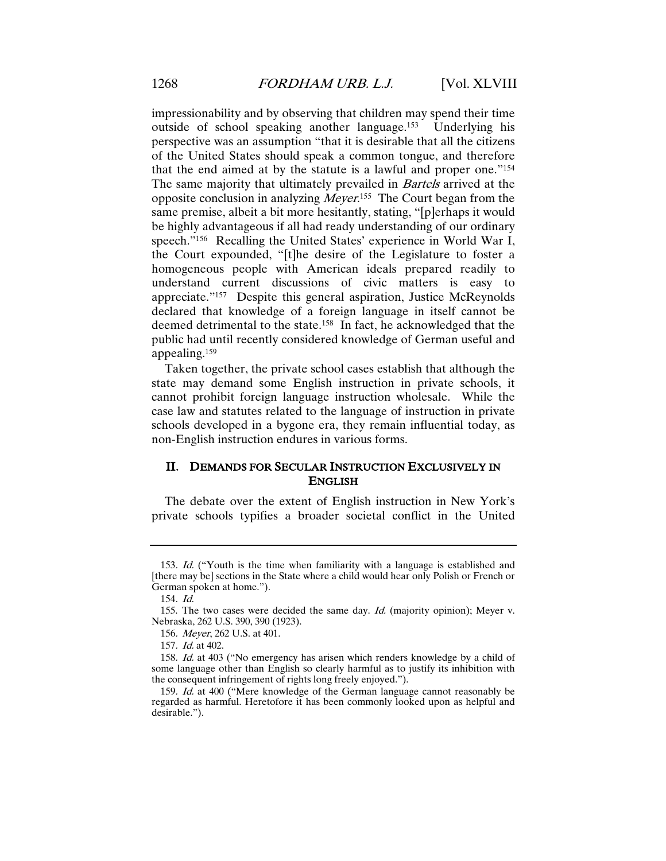impressionability and by observing that children may spend their time outside of school speaking another language.153 Underlying his perspective was an assumption "that it is desirable that all the citizens of the United States should speak a common tongue, and therefore that the end aimed at by the statute is a lawful and proper one."154 The same majority that ultimately prevailed in *Bartels* arrived at the opposite conclusion in analyzing *Meyer*.<sup>155</sup> The Court began from the same premise, albeit a bit more hesitantly, stating, "[p]erhaps it would be highly advantageous if all had ready understanding of our ordinary speech."156 Recalling the United States' experience in World War I, the Court expounded, "[t]he desire of the Legislature to foster a homogeneous people with American ideals prepared readily to understand current discussions of civic matters is easy to appreciate."157 Despite this general aspiration, Justice McReynolds declared that knowledge of a foreign language in itself cannot be deemed detrimental to the state.158 In fact, he acknowledged that the public had until recently considered knowledge of German useful and appealing.159

Taken together, the private school cases establish that although the state may demand some English instruction in private schools, it cannot prohibit foreign language instruction wholesale. While the case law and statutes related to the language of instruction in private schools developed in a bygone era, they remain influential today, as non-English instruction endures in various forms.

# II. DEMANDS FOR SECULAR INSTRUCTION EXCLUSIVELY IN ENGLISH

The debate over the extent of English instruction in New York's private schools typifies a broader societal conflict in the United

<sup>153</sup>. Id. ("Youth is the time when familiarity with a language is established and [there may be] sections in the State where a child would hear only Polish or French or German spoken at home.").

<sup>154</sup>. Id.

<sup>155.</sup> The two cases were decided the same day. Id. (majority opinion); Meyer v. Nebraska, 262 U.S. 390, 390 (1923).

<sup>156</sup>. Meyer, 262 U.S. at 401.

<sup>157</sup>. Id. at 402.

<sup>158</sup>. Id. at 403 ("No emergency has arisen which renders knowledge by a child of some language other than English so clearly harmful as to justify its inhibition with the consequent infringement of rights long freely enjoyed.").

<sup>159</sup>. Id. at 400 ("Mere knowledge of the German language cannot reasonably be regarded as harmful. Heretofore it has been commonly looked upon as helpful and desirable.").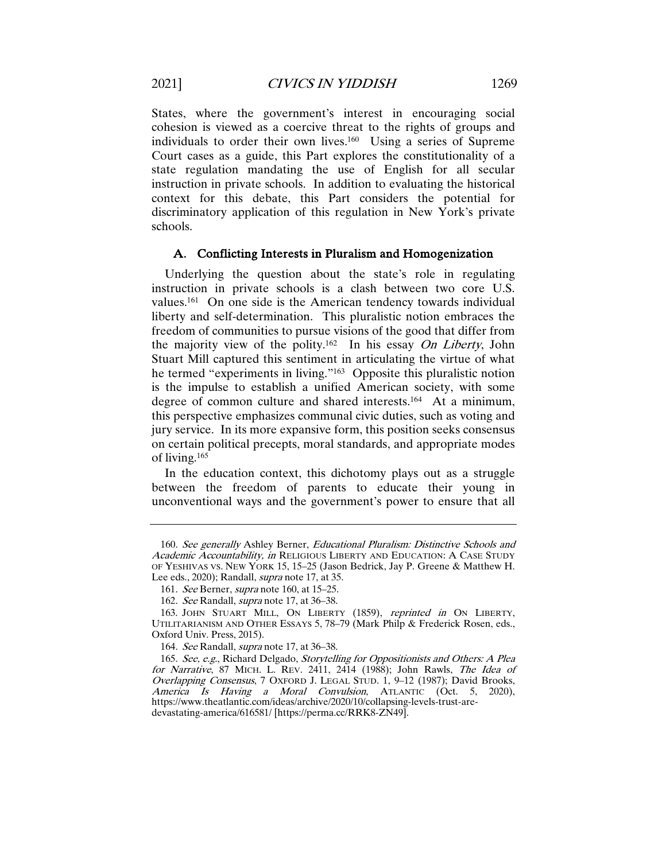States, where the government's interest in encouraging social cohesion is viewed as a coercive threat to the rights of groups and individuals to order their own lives.160 Using a series of Supreme Court cases as a guide, this Part explores the constitutionality of a state regulation mandating the use of English for all secular instruction in private schools. In addition to evaluating the historical context for this debate, this Part considers the potential for discriminatory application of this regulation in New York's private schools.

#### A. Conflicting Interests in Pluralism and Homogenization

Underlying the question about the state's role in regulating instruction in private schools is a clash between two core U.S. values.161 On one side is the American tendency towards individual liberty and self-determination. This pluralistic notion embraces the freedom of communities to pursue visions of the good that differ from the majority view of the polity.<sup>162</sup> In his essay On Liberty, John Stuart Mill captured this sentiment in articulating the virtue of what he termed "experiments in living."163 Opposite this pluralistic notion is the impulse to establish a unified American society, with some degree of common culture and shared interests.164 At a minimum, this perspective emphasizes communal civic duties, such as voting and jury service. In its more expansive form, this position seeks consensus on certain political precepts, moral standards, and appropriate modes of living.165

In the education context, this dichotomy plays out as a struggle between the freedom of parents to educate their young in unconventional ways and the government's power to ensure that all

<sup>160</sup>. See generally Ashley Berner, Educational Pluralism: Distinctive Schools and Academic Accountability, in RELIGIOUS LIBERTY AND EDUCATION: A CASE STUDY OF YESHIVAS VS. NEW YORK 15, 15–25 (Jason Bedrick, Jay P. Greene & Matthew H. Lee eds., 2020); Randall, supra note 17, at 35.

<sup>161</sup>. See Berner, supra note 160, at 15–25.

<sup>162</sup>. See Randall, supra note 17, at 36–38.

<sup>163.</sup> JOHN STUART MILL, ON LIBERTY (1859), reprinted in ON LIBERTY, UTILITARIANISM AND OTHER ESSAYS 5, 78–79 (Mark Philp & Frederick Rosen, eds., Oxford Univ. Press, 2015).

<sup>164</sup>. See Randall, supra note 17, at 36–38.

<sup>165</sup>. See, e.g., Richard Delgado, Storytelling for Oppositionists and Others: A Plea for Narrative, 87 MICH. L. REV. 2411, 2414 (1988); John Rawls, The Idea of Overlapping Consensus, 7 OXFORD J. LEGAL STUD. 1, 9–12 (1987); David Brooks, America Is Having a Moral Convulsion, ATLANTIC (Oct. 5, 2020), America Is Having a Moral Convulsion, ATLANTIC (Oct. 5, https://www.theatlantic.com/ideas/archive/2020/10/collapsing-levels-trust-aredevastating-america/616581/ [https://perma.cc/RRK8-ZN49].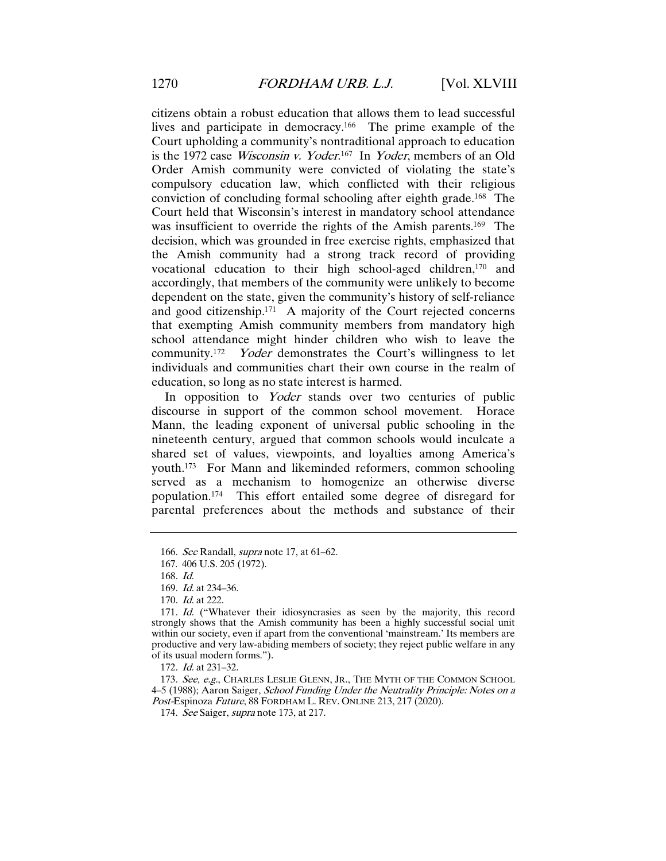citizens obtain a robust education that allows them to lead successful lives and participate in democracy.166 The prime example of the Court upholding a community's nontraditional approach to education is the 1972 case *Wisconsin v. Yoder*.<sup>167</sup> In *Yoder*, members of an Old Order Amish community were convicted of violating the state's compulsory education law, which conflicted with their religious conviction of concluding formal schooling after eighth grade.168 The Court held that Wisconsin's interest in mandatory school attendance was insufficient to override the rights of the Amish parents.<sup>169</sup> The decision, which was grounded in free exercise rights, emphasized that the Amish community had a strong track record of providing vocational education to their high school-aged children,170 and accordingly, that members of the community were unlikely to become dependent on the state, given the community's history of self-reliance and good citizenship.171 A majority of the Court rejected concerns that exempting Amish community members from mandatory high school attendance might hinder children who wish to leave the community.<sup>172</sup> *Yoder* demonstrates the Court's willingness to let individuals and communities chart their own course in the realm of education, so long as no state interest is harmed.

In opposition to Yoder stands over two centuries of public discourse in support of the common school movement. Horace Mann, the leading exponent of universal public schooling in the nineteenth century, argued that common schools would inculcate a shared set of values, viewpoints, and loyalties among America's youth.173 For Mann and likeminded reformers, common schooling served as a mechanism to homogenize an otherwise diverse population.174 This effort entailed some degree of disregard for parental preferences about the methods and substance of their

173. See, e.g., CHARLES LESLIE GLENN, JR., THE MYTH OF THE COMMON SCHOOL 4–5 (1988); Aaron Saiger, School Funding Under the Neutrality Principle: Notes on a Post-Espinoza Future, 88 FORDHAM L. REV. ONLINE 213, 217 (2020).

<sup>166</sup>. See Randall, supra note 17, at 61–62.

<sup>167.</sup> 406 U.S. 205 (1972).

<sup>168</sup>. Id.

<sup>169</sup>. Id. at 234–36.

<sup>170</sup>. Id. at 222.

<sup>171</sup>. Id. ("Whatever their idiosyncrasies as seen by the majority, this record strongly shows that the Amish community has been a highly successful social unit within our society, even if apart from the conventional 'mainstream.' Its members are productive and very law-abiding members of society; they reject public welfare in any of its usual modern forms.").

<sup>172</sup>. Id. at 231–32.

<sup>174.</sup> See Saiger, *supra* note 173, at 217.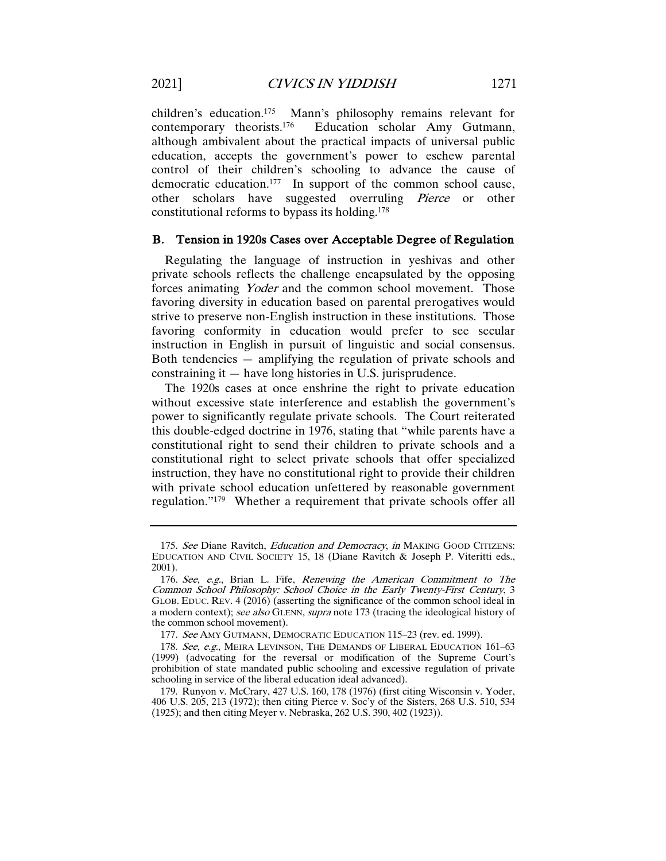children's education.<sup>175</sup> Mann's philosophy remains relevant for contemporary theorists.<sup>176</sup> Education scholar Amy Gutmann, Education scholar Amy Gutmann, although ambivalent about the practical impacts of universal public education, accepts the government's power to eschew parental control of their children's schooling to advance the cause of democratic education.177 In support of the common school cause, other scholars have suggested overruling Pierce or other constitutional reforms to bypass its holding.178

# B. Tension in 1920s Cases over Acceptable Degree of Regulation

Regulating the language of instruction in yeshivas and other private schools reflects the challenge encapsulated by the opposing forces animating Yoder and the common school movement. Those favoring diversity in education based on parental prerogatives would strive to preserve non-English instruction in these institutions. Those favoring conformity in education would prefer to see secular instruction in English in pursuit of linguistic and social consensus. Both tendencies — amplifying the regulation of private schools and constraining it — have long histories in U.S. jurisprudence.

The 1920s cases at once enshrine the right to private education without excessive state interference and establish the government's power to significantly regulate private schools. The Court reiterated this double-edged doctrine in 1976, stating that "while parents have a constitutional right to send their children to private schools and a constitutional right to select private schools that offer specialized instruction, they have no constitutional right to provide their children with private school education unfettered by reasonable government regulation."179 Whether a requirement that private schools offer all

<sup>175.</sup> See Diane Ravitch, *Education and Democracy*, *in* MAKING GOOD CITIZENS: EDUCATION AND CIVIL SOCIETY 15, 18 (Diane Ravitch & Joseph P. Viteritti eds., 2001).

<sup>176</sup>. See, e.g., Brian L. Fife, Renewing the American Commitment to The Common School Philosophy: School Choice in the Early Twenty-First Century, 3 GLOB. EDUC. REV. 4 (2016) (asserting the significance of the common school ideal in a modern context); see also GLENN, supra note 173 (tracing the ideological history of the common school movement).

<sup>177</sup>. See AMY GUTMANN, DEMOCRATIC EDUCATION 115–23 (rev. ed. 1999).

<sup>178.</sup> See, e.g., MEIRA LEVINSON, THE DEMANDS OF LIBERAL EDUCATION 161-63 (1999) (advocating for the reversal or modification of the Supreme Court's prohibition of state mandated public schooling and excessive regulation of private schooling in service of the liberal education ideal advanced).

<sup>179.</sup> Runyon v. McCrary, 427 U.S. 160, 178 (1976) (first citing Wisconsin v. Yoder, 406 U.S. 205, 213 (1972); then citing Pierce v. Soc'y of the Sisters, 268 U.S. 510, 534 (1925); and then citing Meyer v. Nebraska, 262 U.S. 390, 402 (1923)).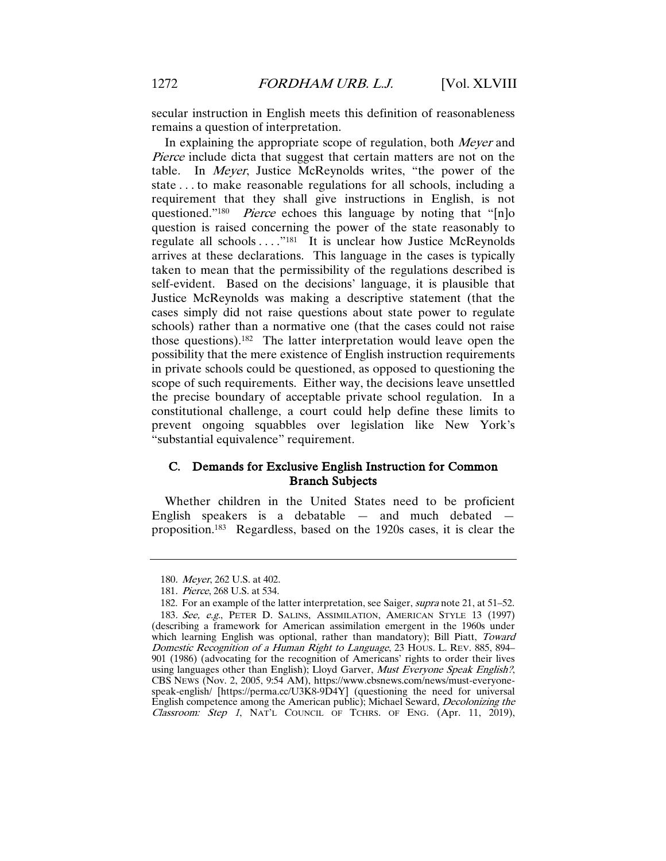secular instruction in English meets this definition of reasonableness remains a question of interpretation.

In explaining the appropriate scope of regulation, both Meyer and Pierce include dicta that suggest that certain matters are not on the table. In Meyer, Justice McReynolds writes, "the power of the state . . . to make reasonable regulations for all schools, including a requirement that they shall give instructions in English, is not questioned."<sup>180</sup> *Pierce* echoes this language by noting that "[n]o question is raised concerning the power of the state reasonably to regulate all schools . . . .<sup>"181</sup> It is unclear how Justice McReynolds arrives at these declarations. This language in the cases is typically taken to mean that the permissibility of the regulations described is self-evident. Based on the decisions' language, it is plausible that Justice McReynolds was making a descriptive statement (that the cases simply did not raise questions about state power to regulate schools) rather than a normative one (that the cases could not raise those questions).182 The latter interpretation would leave open the possibility that the mere existence of English instruction requirements in private schools could be questioned, as opposed to questioning the scope of such requirements. Either way, the decisions leave unsettled the precise boundary of acceptable private school regulation. In a constitutional challenge, a court could help define these limits to prevent ongoing squabbles over legislation like New York's "substantial equivalence" requirement.

# C. Demands for Exclusive English Instruction for Common Branch Subjects

Whether children in the United States need to be proficient English speakers is a debatable  $-$  and much debated proposition.183 Regardless, based on the 1920s cases, it is clear the

<sup>180</sup>. Meyer, 262 U.S. at 402.

<sup>181</sup>. Pierce, 268 U.S. at 534.

<sup>182.</sup> For an example of the latter interpretation, see Saiger, supra note 21, at 51–52. 183. See, e.g., PETER D. SALINS, ASSIMILATION, AMERICAN STYLE 13 (1997) (describing a framework for American assimilation emergent in the 1960s under which learning English was optional, rather than mandatory); Bill Piatt, Toward Domestic Recognition of a Human Right to Language, 23 HOUS. L. REV. 885, 894– 901 (1986) (advocating for the recognition of Americans' rights to order their lives using languages other than English); Lloyd Garver, Must Everyone Speak English?, CBS NEWS (Nov. 2, 2005, 9:54 AM), https://www.cbsnews.com/news/must-everyonespeak-english/ [https://perma.cc/U3K8-9D4Y] (questioning the need for universal English competence among the American public); Michael Seward, Decolonizing the Classroom: Step 1, NAT'L COUNCIL OF TCHRS. OF ENG. (Apr. 11, 2019),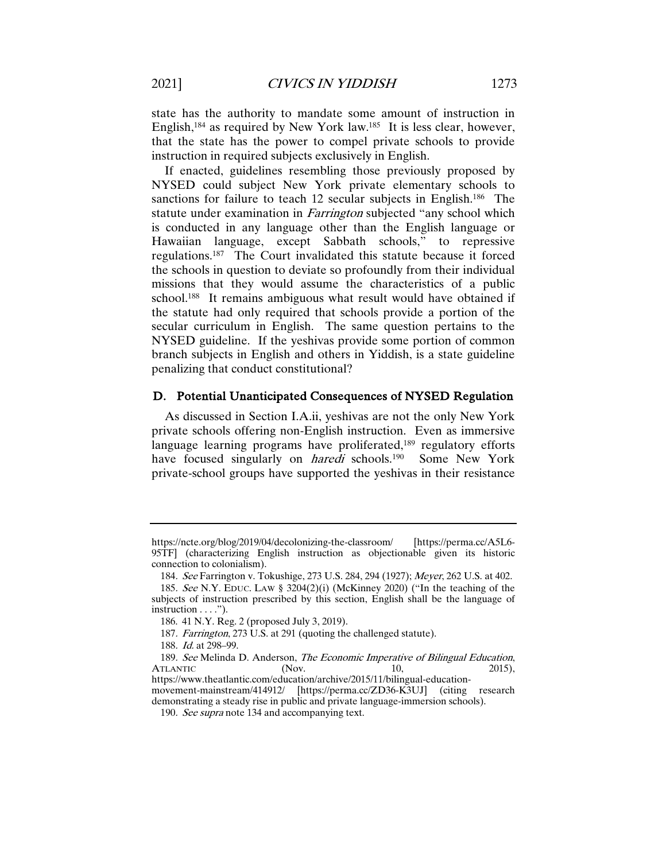state has the authority to mandate some amount of instruction in English,184 as required by New York law.185 It is less clear, however, that the state has the power to compel private schools to provide instruction in required subjects exclusively in English.

If enacted, guidelines resembling those previously proposed by NYSED could subject New York private elementary schools to sanctions for failure to teach 12 secular subjects in English.<sup>186</sup> The statute under examination in *Farrington* subjected "any school which is conducted in any language other than the English language or Hawaiian language, except Sabbath schools," to repressive regulations.187 The Court invalidated this statute because it forced the schools in question to deviate so profoundly from their individual missions that they would assume the characteristics of a public school.188 It remains ambiguous what result would have obtained if the statute had only required that schools provide a portion of the secular curriculum in English. The same question pertains to the NYSED guideline. If the yeshivas provide some portion of common branch subjects in English and others in Yiddish, is a state guideline penalizing that conduct constitutional?

#### D. Potential Unanticipated Consequences of NYSED Regulation

As discussed in Section I.A.ii, yeshivas are not the only New York private schools offering non-English instruction. Even as immersive language learning programs have proliferated,<sup>189</sup> regulatory efforts have focused singularly on *haredi* schools.<sup>190</sup> Some New York private-school groups have supported the yeshivas in their resistance

https://ncte.org/blog/2019/04/decolonizing-the-classroom/ [https://perma.cc/A5L6- 95TF] (characterizing English instruction as objectionable given its historic connection to colonialism).

<sup>184</sup>. See Farrington v. Tokushige, 273 U.S. 284, 294 (1927); Meyer, 262 U.S. at 402.

<sup>185</sup>. See N.Y. EDUC. LAW § 3204(2)(i) (McKinney 2020) ("In the teaching of the subjects of instruction prescribed by this section, English shall be the language of instruction . . . .").

<sup>186.</sup> 41 N.Y. Reg. 2 (proposed July 3, 2019).

<sup>187</sup>. Farrington, 273 U.S. at 291 (quoting the challenged statute).

<sup>188</sup>. Id. at 298–99.

<sup>189.</sup> See Melinda D. Anderson, *The Economic Imperative of Bilingual Education*, ATLANTIC (Nov. 10, 2015), ATLANTIC (Nov. 10, 2015), https://www.theatlantic.com/education/archive/2015/11/bilingual-education-

movement-mainstream/414912/ [https://perma.cc/ZD36-K3UJ] (citing research demonstrating a steady rise in public and private language-immersion schools).

<sup>190</sup>. See supra note 134 and accompanying text.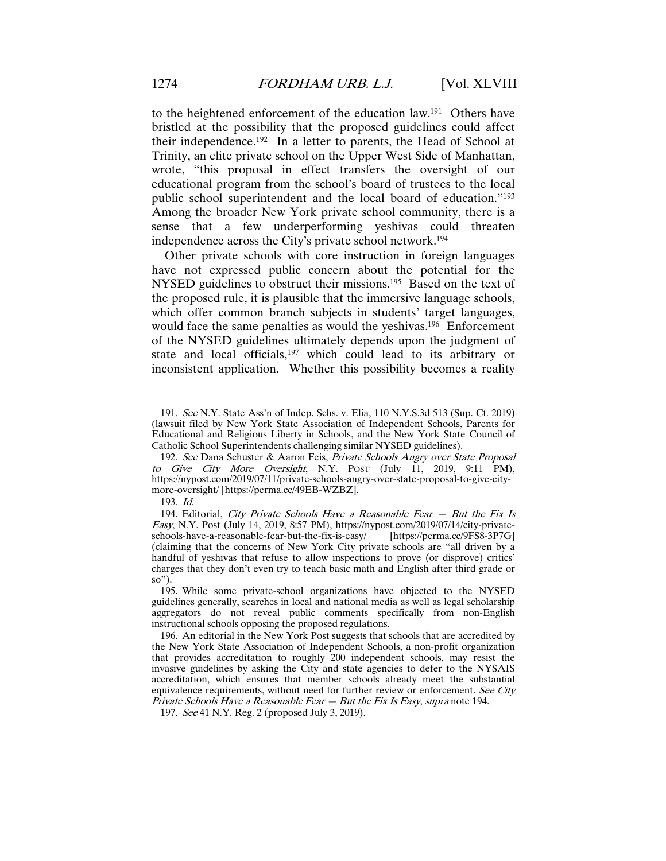to the heightened enforcement of the education law.191 Others have bristled at the possibility that the proposed guidelines could affect their independence.192 In a letter to parents, the Head of School at Trinity, an elite private school on the Upper West Side of Manhattan, wrote, "this proposal in effect transfers the oversight of our educational program from the school's board of trustees to the local public school superintendent and the local board of education."193 Among the broader New York private school community, there is a sense that a few underperforming yeshivas could threaten independence across the City's private school network.194

Other private schools with core instruction in foreign languages have not expressed public concern about the potential for the NYSED guidelines to obstruct their missions.<sup>195</sup> Based on the text of the proposed rule, it is plausible that the immersive language schools, which offer common branch subjects in students' target languages, would face the same penalties as would the yeshivas.<sup>196</sup> Enforcement of the NYSED guidelines ultimately depends upon the judgment of state and local officials,<sup>197</sup> which could lead to its arbitrary or inconsistent application. Whether this possibility becomes a reality

<sup>191</sup>. See N.Y. State Ass'n of Indep. Schs. v. Elia, 110 N.Y.S.3d 513 (Sup. Ct. 2019) (lawsuit filed by New York State Association of Independent Schools, Parents for Educational and Religious Liberty in Schools, and the New York State Council of Catholic School Superintendents challenging similar NYSED guidelines).

<sup>192</sup>. See Dana Schuster & Aaron Feis, Private Schools Angry over State Proposal to Give City More Oversight, N.Y. POST (July 11, 2019, 9:11 PM), https://nypost.com/2019/07/11/private-schools-angry-over-state-proposal-to-give-citymore-oversight/ [https://perma.cc/49EB-WZBZ].

<sup>193</sup>. Id.

<sup>194.</sup> Editorial, City Private Schools Have a Reasonable Fear  $-$  But the Fix Is Easy, N.Y. Post (July 14, 2019, 8:57 PM), https://nypost.com/2019/07/14/city-private-<br>schools-have-a-reasonable-fear-but-the-fix-is-easy/ [https://perma.cc/9FS8-3P7G] schools-have-a-reasonable-fear-but-the-fix-is-easy/ (claiming that the concerns of New York City private schools are "all driven by a handful of yeshivas that refuse to allow inspections to prove (or disprove) critics' charges that they don't even try to teach basic math and English after third grade or so").

<sup>195.</sup> While some private-school organizations have objected to the NYSED guidelines generally, searches in local and national media as well as legal scholarship aggregators do not reveal public comments specifically from non-English instructional schools opposing the proposed regulations.

<sup>196.</sup> An editorial in the New York Post suggests that schools that are accredited by the New York State Association of Independent Schools, a non-profit organization that provides accreditation to roughly 200 independent schools, may resist the invasive guidelines by asking the City and state agencies to defer to the NYSAIS accreditation, which ensures that member schools already meet the substantial equivalence requirements, without need for further review or enforcement. See City Private Schools Have a Reasonable Fear - But the Fix Is Easy, supra note 194.

<sup>197</sup>. See 41 N.Y. Reg. 2 (proposed July 3, 2019).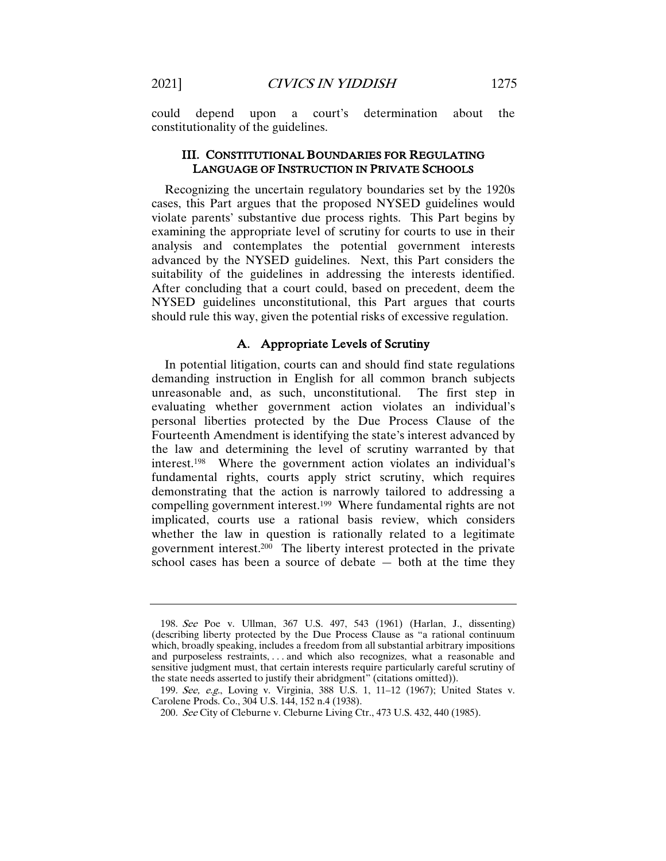could depend upon a court's determination about the constitutionality of the guidelines.

## III. CONSTITUTIONAL BOUNDARIES FOR REGULATING LANGUAGE OF INSTRUCTION IN PRIVATE SCHOOLS

Recognizing the uncertain regulatory boundaries set by the 1920s cases, this Part argues that the proposed NYSED guidelines would violate parents' substantive due process rights. This Part begins by examining the appropriate level of scrutiny for courts to use in their analysis and contemplates the potential government interests advanced by the NYSED guidelines. Next, this Part considers the suitability of the guidelines in addressing the interests identified. After concluding that a court could, based on precedent, deem the NYSED guidelines unconstitutional, this Part argues that courts should rule this way, given the potential risks of excessive regulation.

# A. Appropriate Levels of Scrutiny

In potential litigation, courts can and should find state regulations demanding instruction in English for all common branch subjects unreasonable and, as such, unconstitutional. The first step in evaluating whether government action violates an individual's personal liberties protected by the Due Process Clause of the Fourteenth Amendment is identifying the state's interest advanced by the law and determining the level of scrutiny warranted by that interest.198 Where the government action violates an individual's fundamental rights, courts apply strict scrutiny, which requires demonstrating that the action is narrowly tailored to addressing a compelling government interest.199 Where fundamental rights are not implicated, courts use a rational basis review, which considers whether the law in question is rationally related to a legitimate government interest.200 The liberty interest protected in the private school cases has been a source of debate  $-$  both at the time they

<sup>198</sup>. See Poe v. Ullman, 367 U.S. 497, 543 (1961) (Harlan, J., dissenting) (describing liberty protected by the Due Process Clause as "a rational continuum which, broadly speaking, includes a freedom from all substantial arbitrary impositions and purposeless restraints, . . . and which also recognizes, what a reasonable and sensitive judgment must, that certain interests require particularly careful scrutiny of the state needs asserted to justify their abridgment" (citations omitted)).

<sup>199</sup>. See, e.g., Loving v. Virginia, 388 U.S. 1, 11–12 (1967); United States v. Carolene Prods. Co., 304 U.S. 144, 152 n.4 (1938).

<sup>200</sup>. See City of Cleburne v. Cleburne Living Ctr., 473 U.S. 432, 440 (1985).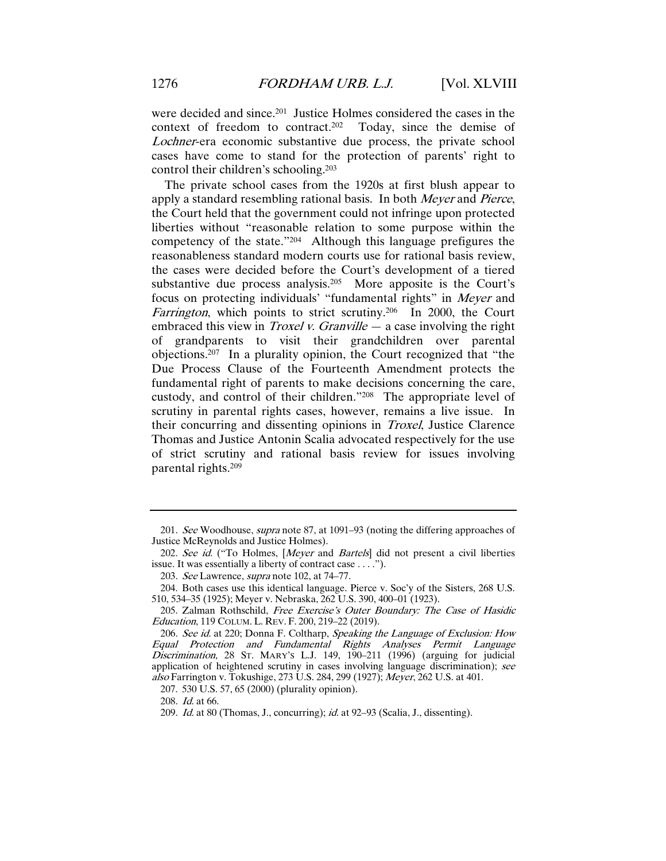were decided and since.201 Justice Holmes considered the cases in the context of freedom to contract.202 Today, since the demise of Lochner-era economic substantive due process, the private school cases have come to stand for the protection of parents' right to control their children's schooling.203

The private school cases from the 1920s at first blush appear to apply a standard resembling rational basis. In both Meyer and Pierce, the Court held that the government could not infringe upon protected liberties without "reasonable relation to some purpose within the competency of the state."204 Although this language prefigures the reasonableness standard modern courts use for rational basis review, the cases were decided before the Court's development of a tiered substantive due process analysis.205 More apposite is the Court's focus on protecting individuals' "fundamental rights" in Meyer and Farrington, which points to strict scrutiny.<sup>206</sup> In 2000, the Court embraced this view in *Troxel v. Granville*  $-$  a case involving the right of grandparents to visit their grandchildren over parental objections.207 In a plurality opinion, the Court recognized that "the Due Process Clause of the Fourteenth Amendment protects the fundamental right of parents to make decisions concerning the care, custody, and control of their children."208 The appropriate level of scrutiny in parental rights cases, however, remains a live issue. In their concurring and dissenting opinions in Troxel, Justice Clarence Thomas and Justice Antonin Scalia advocated respectively for the use of strict scrutiny and rational basis review for issues involving parental rights.209

<sup>201</sup>. See Woodhouse, supra note 87, at 1091–93 (noting the differing approaches of Justice McReynolds and Justice Holmes).

<sup>202.</sup> See id. ("To Holmes, [Meyer and Bartels] did not present a civil liberties issue. It was essentially a liberty of contract case . . . .").

<sup>203</sup>. See Lawrence, supra note 102, at 74–77.

<sup>204.</sup> Both cases use this identical language. Pierce v. Soc'y of the Sisters, 268 U.S. 510, 534–35 (1925); Meyer v. Nebraska, 262 U.S. 390, 400–01 (1923).

<sup>205.</sup> Zalman Rothschild, Free Exercise's Outer Boundary: The Case of Hasidic Education, 119 COLUM. L. REV. F. 200, 219–22 (2019).

<sup>206.</sup> See id. at 220; Donna F. Coltharp, Speaking the Language of Exclusion: How Equal Protection and Fundamental Rights Analyses Permit Language Discrimination, 28 ST. MARY's L.J. 149, 190-211 (1996) (arguing for judicial application of heightened scrutiny in cases involving language discrimination); see also Farrington v. Tokushige, 273 U.S. 284, 299 (1927); Meyer, 262 U.S. at 401.

<sup>207.</sup> 530 U.S. 57, 65 (2000) (plurality opinion).

<sup>208</sup>. Id. at 66.

<sup>209</sup>. Id. at 80 (Thomas, J., concurring); id. at 92–93 (Scalia, J., dissenting).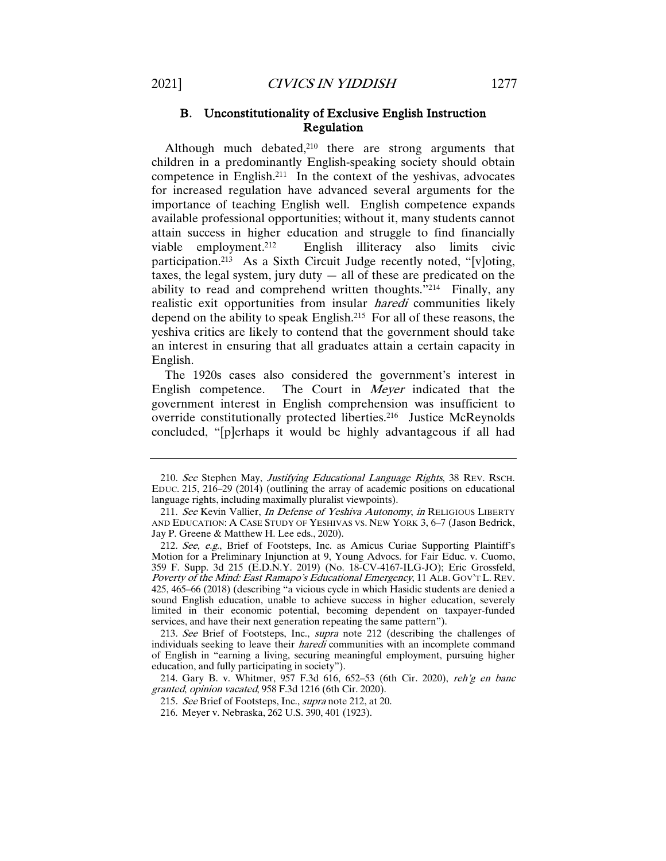Although much debated, $210$  there are strong arguments that children in a predominantly English-speaking society should obtain competence in English.211 In the context of the yeshivas, advocates for increased regulation have advanced several arguments for the importance of teaching English well. English competence expands available professional opportunities; without it, many students cannot attain success in higher education and struggle to find financially viable employment.212 English illiteracy also limits civic participation.213 As a Sixth Circuit Judge recently noted, "[v]oting, taxes, the legal system, jury duty  $-$  all of these are predicated on the ability to read and comprehend written thoughts."214 Finally, any realistic exit opportunities from insular *haredi* communities likely depend on the ability to speak English.215 For all of these reasons, the yeshiva critics are likely to contend that the government should take an interest in ensuring that all graduates attain a certain capacity in English.

The 1920s cases also considered the government's interest in English competence. The Court in Meyer indicated that the government interest in English comprehension was insufficient to override constitutionally protected liberties.216 Justice McReynolds concluded, "[p]erhaps it would be highly advantageous if all had

215. See Brief of Footsteps, Inc., supra note 212, at 20.

<sup>210.</sup> See Stephen May, Justifying Educational Language Rights, 38 REV. RSCH. EDUC. 215, 216–29 (2014) (outlining the array of academic positions on educational language rights, including maximally pluralist viewpoints).

<sup>211.</sup> See Kevin Vallier, In Defense of Yeshiva Autonomy, in RELIGIOUS LIBERTY AND EDUCATION: A CASE STUDY OF YESHIVAS VS. NEW YORK 3, 6–7 (Jason Bedrick, Jay P. Greene & Matthew H. Lee eds., 2020).

<sup>212</sup>. See, e.g., Brief of Footsteps, Inc. as Amicus Curiae Supporting Plaintiff's Motion for a Preliminary Injunction at 9, Young Advocs. for Fair Educ. v. Cuomo, 359 F. Supp. 3d 215 (E.D.N.Y. 2019) (No. 18-CV-4167-ILG-JO); Eric Grossfeld, Poverty of the Mind: East Ramapo's Educational Emergency, 11 ALB. GOV'T L. REV. 425, 465–66 (2018) (describing "a vicious cycle in which Hasidic students are denied a sound English education, unable to achieve success in higher education, severely limited in their economic potential, becoming dependent on taxpayer-funded services, and have their next generation repeating the same pattern").

<sup>213</sup>. See Brief of Footsteps, Inc., supra note 212 (describing the challenges of individuals seeking to leave their *haredi* communities with an incomplete command of English in "earning a living, securing meaningful employment, pursuing higher education, and fully participating in society").

<sup>214.</sup> Gary B. v. Whitmer, 957 F.3d 616, 652–53 (6th Cir. 2020), reh'g en banc granted, opinion vacated, 958 F.3d 1216 (6th Cir. 2020).

<sup>216.</sup> Meyer v. Nebraska, 262 U.S. 390, 401 (1923).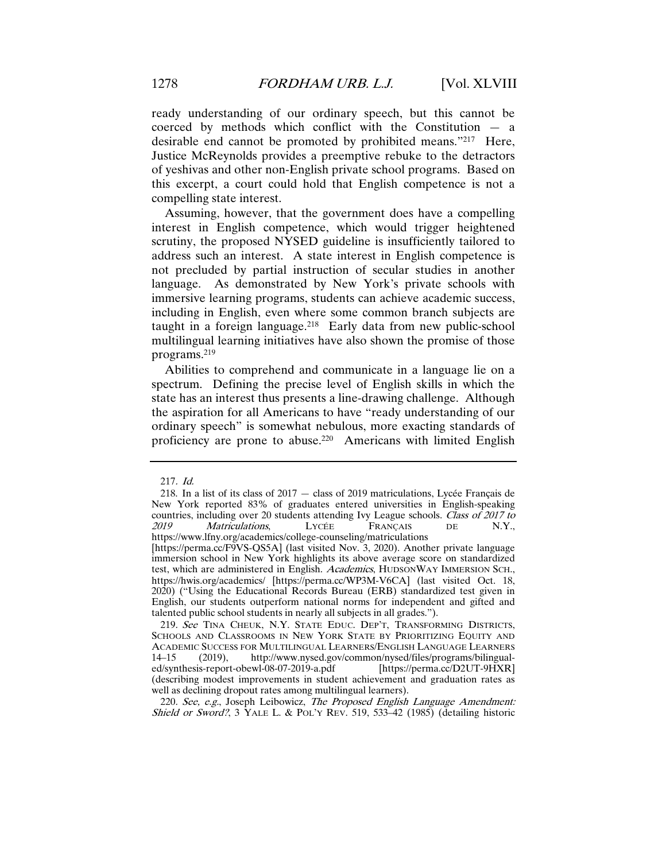ready understanding of our ordinary speech, but this cannot be coerced by methods which conflict with the Constitution — a desirable end cannot be promoted by prohibited means."217 Here, Justice McReynolds provides a preemptive rebuke to the detractors of yeshivas and other non-English private school programs. Based on this excerpt, a court could hold that English competence is not a compelling state interest.

Assuming, however, that the government does have a compelling interest in English competence, which would trigger heightened scrutiny, the proposed NYSED guideline is insufficiently tailored to address such an interest. A state interest in English competence is not precluded by partial instruction of secular studies in another language. As demonstrated by New York's private schools with immersive learning programs, students can achieve academic success, including in English, even where some common branch subjects are taught in a foreign language.<sup>218</sup> Early data from new public-school multilingual learning initiatives have also shown the promise of those programs.219

Abilities to comprehend and communicate in a language lie on a spectrum. Defining the precise level of English skills in which the state has an interest thus presents a line-drawing challenge. Although the aspiration for all Americans to have "ready understanding of our ordinary speech" is somewhat nebulous, more exacting standards of proficiency are prone to abuse.220 Americans with limited English

<sup>217</sup>. Id.

<sup>218.</sup> In a list of its class of 2017 — class of 2019 matriculations, Lycée Français de New York reported 83% of graduates entered universities in English-speaking countries, including over 20 students attending Ivy League schools. Class of 2017 to 2019 Matriculations, LYCÉE FRANÇAIS DE N.Y., Matriculations, https://www.lfny.org/academics/college-counseling/matriculations [https://perma.cc/F9VS-QS5A] (last visited Nov. 3, 2020). Another private language immersion school in New York highlights its above average score on standardized test, which are administered in English. Academics, HUDSONWAY IMMERSION SCH., https://hwis.org/academics/ [https://perma.cc/WP3M-V6CA] (last visited Oct. 18, 2020) ("Using the Educational Records Bureau (ERB) standardized test given in English, our students outperform national norms for independent and gifted and talented public school students in nearly all subjects in all grades.").

<sup>219.</sup> See TINA CHEUK, N.Y. STATE EDUC. DEP'T, TRANSFORMING DISTRICTS, SCHOOLS AND CLASSROOMS IN NEW YORK STATE BY PRIORITIZING EQUITY AND ACADEMIC SUCCESS FOR MULTILINGUAL LEARNERS/ENGLISH LANGUAGE LEARNERS<br>14–15 (2019), http://www.nysed.gov/common/nysed/files/programs/bilingualhttp://www.nysed.gov/common/nysed/files/programs/bilingual-<br>
ewl-08-07-2019-a.pdf [https://perma.cc/D2UT-9HXR] ed/synthesis-report-obewl-08-07-2019-a.pdf (describing modest improvements in student achievement and graduation rates as well as declining dropout rates among multilingual learners).

<sup>220.</sup> See, e.g., Joseph Leibowicz, The Proposed English Language Amendment: Shield or Sword?, 3 YALE L. & POL'Y REV. 519, 533-42 (1985) (detailing historic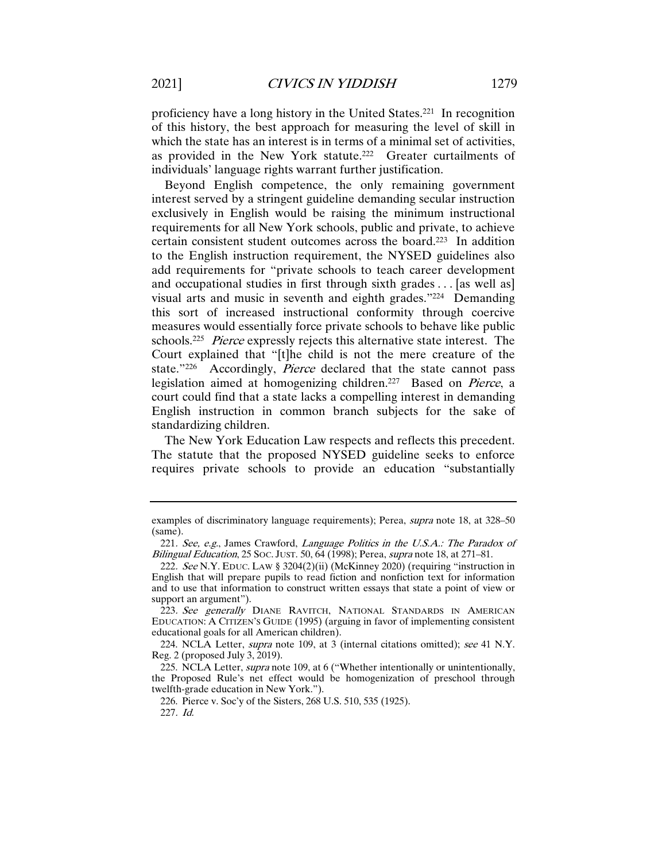proficiency have a long history in the United States.221 In recognition of this history, the best approach for measuring the level of skill in which the state has an interest is in terms of a minimal set of activities, as provided in the New York statute.222 Greater curtailments of individuals' language rights warrant further justification.

Beyond English competence, the only remaining government interest served by a stringent guideline demanding secular instruction exclusively in English would be raising the minimum instructional requirements for all New York schools, public and private, to achieve certain consistent student outcomes across the board.223 In addition to the English instruction requirement, the NYSED guidelines also add requirements for "private schools to teach career development and occupational studies in first through sixth grades . . . [as well as] visual arts and music in seventh and eighth grades."224 Demanding this sort of increased instructional conformity through coercive measures would essentially force private schools to behave like public schools.<sup>225</sup> Pierce expressly rejects this alternative state interest. The Court explained that "[t]he child is not the mere creature of the state."226 Accordingly, *Pierce* declared that the state cannot pass legislation aimed at homogenizing children.227 Based on Pierce, a court could find that a state lacks a compelling interest in demanding English instruction in common branch subjects for the sake of standardizing children.

The New York Education Law respects and reflects this precedent. The statute that the proposed NYSED guideline seeks to enforce requires private schools to provide an education "substantially

224. NCLA Letter, supra note 109, at 3 (internal citations omitted); see 41 N.Y. Reg. 2 (proposed July 3, 2019).

226. Pierce v. Soc'y of the Sisters, 268 U.S. 510, 535 (1925).

227. Id.

examples of discriminatory language requirements); Perea, supra note 18, at 328–50 (same).

<sup>221.</sup> See, e.g., James Crawford, Language Politics in the U.S.A.: The Paradox of Bilingual Education, 25 Soc. JUST. 50, 64 (1998); Perea, *supra* note 18, at 271–81.

<sup>222</sup>. See N.Y. EDUC. LAW § 3204(2)(ii) (McKinney 2020) (requiring "instruction in English that will prepare pupils to read fiction and nonfiction text for information and to use that information to construct written essays that state a point of view or support an argument").

<sup>223.</sup> See generally DIANE RAVITCH, NATIONAL STANDARDS IN AMERICAN EDUCATION: A CITIZEN'S GUIDE (1995) (arguing in favor of implementing consistent educational goals for all American children).

<sup>225.</sup> NCLA Letter, *supra* note 109, at 6 ("Whether intentionally or unintentionally, the Proposed Rule's net effect would be homogenization of preschool through twelfth-grade education in New York.").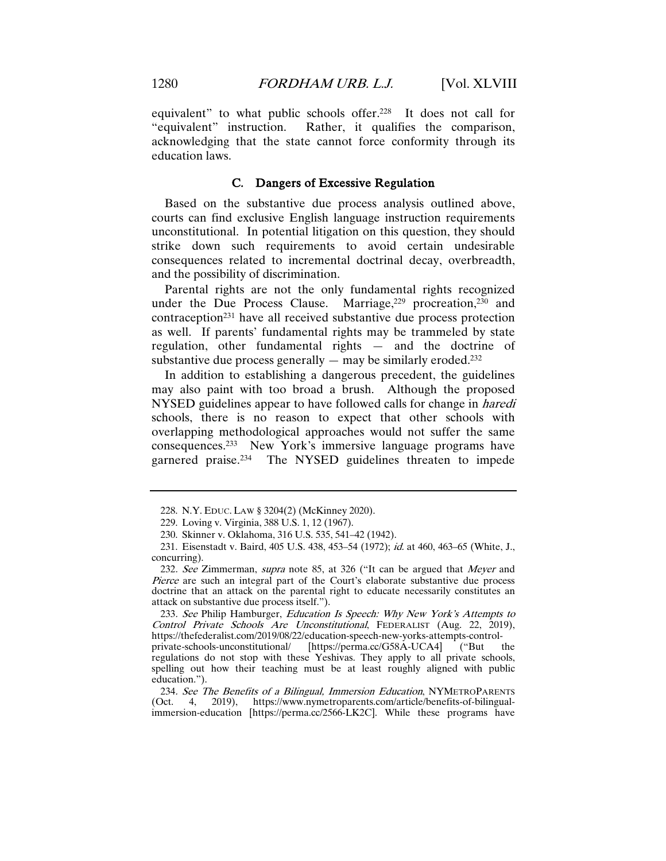equivalent" to what public schools offer.<sup>228</sup> It does not call for "equivalent" instruction. Rather, it qualifies the comparison, acknowledging that the state cannot force conformity through its education laws.

## C. Dangers of Excessive Regulation

Based on the substantive due process analysis outlined above, courts can find exclusive English language instruction requirements unconstitutional. In potential litigation on this question, they should strike down such requirements to avoid certain undesirable consequences related to incremental doctrinal decay, overbreadth, and the possibility of discrimination.

Parental rights are not the only fundamental rights recognized under the Due Process Clause. Marriage,<sup>229</sup> procreation,<sup>230</sup> and contraception231 have all received substantive due process protection as well. If parents' fundamental rights may be trammeled by state regulation, other fundamental rights — and the doctrine of substantive due process generally  $-$  may be similarly eroded.<sup>232</sup>

In addition to establishing a dangerous precedent, the guidelines may also paint with too broad a brush. Although the proposed NYSED guidelines appear to have followed calls for change in haredi schools, there is no reason to expect that other schools with overlapping methodological approaches would not suffer the same consequences.233 New York's immersive language programs have garnered praise.234 The NYSED guidelines threaten to impede

233. See Philip Hamburger, Education Is Speech: Why New York's Attempts to Control Private Schools Are Unconstitutional, FEDERALIST (Aug. 22, 2019), https://thefederalist.com/2019/08/22/education-speech-new-yorks-attempts-control-

<sup>228.</sup> N.Y. EDUC. LAW § 3204(2) (McKinney 2020).

<sup>229.</sup> Loving v. Virginia, 388 U.S. 1, 12 (1967).

<sup>230.</sup> Skinner v. Oklahoma, 316 U.S. 535, 541–42 (1942).

<sup>231.</sup> Eisenstadt v. Baird, 405 U.S. 438, 453-54 (1972); id. at 460, 463-65 (White, J., concurring).

<sup>232.</sup> See Zimmerman, supra note 85, at 326 ("It can be argued that Meyer and Pierce are such an integral part of the Court's elaborate substantive due process doctrine that an attack on the parental right to educate necessarily constitutes an attack on substantive due process itself.").

private-schools-unconstitutional/ [https://perma.cc/G58A-UCA4] regulations do not stop with these Yeshivas. They apply to all private schools, spelling out how their teaching must be at least roughly aligned with public education.").

<sup>234.</sup> See The Benefits of a Bilingual, Immersion Education, NYMETROPARENTS (Oct. 4, 2019), https://www.nymetroparents.com/article/benefits-of-bilingual-2019), https://www.nymetroparents.com/article/benefits-of-bilingualimmersion-education [https://perma.cc/2566-LK2C]. While these programs have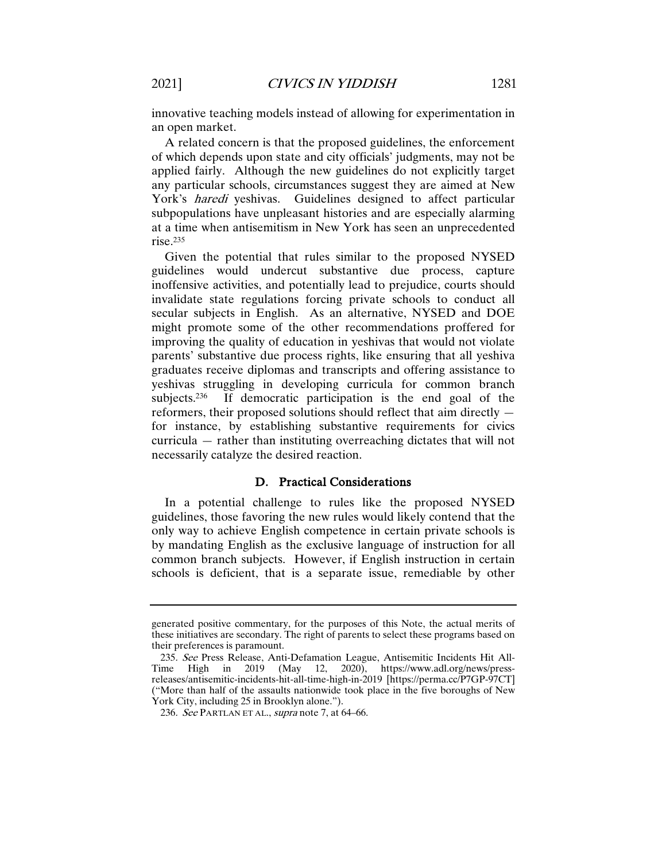innovative teaching models instead of allowing for experimentation in an open market.

A related concern is that the proposed guidelines, the enforcement of which depends upon state and city officials' judgments, may not be applied fairly. Although the new guidelines do not explicitly target any particular schools, circumstances suggest they are aimed at New York's haredi yeshivas. Guidelines designed to affect particular subpopulations have unpleasant histories and are especially alarming at a time when antisemitism in New York has seen an unprecedented rise.235

Given the potential that rules similar to the proposed NYSED guidelines would undercut substantive due process, capture inoffensive activities, and potentially lead to prejudice, courts should invalidate state regulations forcing private schools to conduct all secular subjects in English. As an alternative, NYSED and DOE might promote some of the other recommendations proffered for improving the quality of education in yeshivas that would not violate parents' substantive due process rights, like ensuring that all yeshiva graduates receive diplomas and transcripts and offering assistance to yeshivas struggling in developing curricula for common branch<br>subjects.<sup>236</sup> If democratic participation is the end goal of the If democratic participation is the end goal of the reformers, their proposed solutions should reflect that aim directly for instance, by establishing substantive requirements for civics curricula — rather than instituting overreaching dictates that will not necessarily catalyze the desired reaction.

#### D. Practical Considerations

In a potential challenge to rules like the proposed NYSED guidelines, those favoring the new rules would likely contend that the only way to achieve English competence in certain private schools is by mandating English as the exclusive language of instruction for all common branch subjects. However, if English instruction in certain schools is deficient, that is a separate issue, remediable by other

generated positive commentary, for the purposes of this Note, the actual merits of these initiatives are secondary. The right of parents to select these programs based on their preferences is paramount.

<sup>235</sup>. See Press Release, Anti-Defamation League, Antisemitic Incidents Hit All-Time High in 2019 (May 12, 2020), https://www.adl.org/news/pressreleases/antisemitic-incidents-hit-all-time-high-in-2019 [https://perma.cc/P7GP-97CT] ("More than half of the assaults nationwide took place in the five boroughs of New York City, including 25 in Brooklyn alone.").

<sup>236.</sup> See PARTLAN ET AL., supra note 7, at 64–66.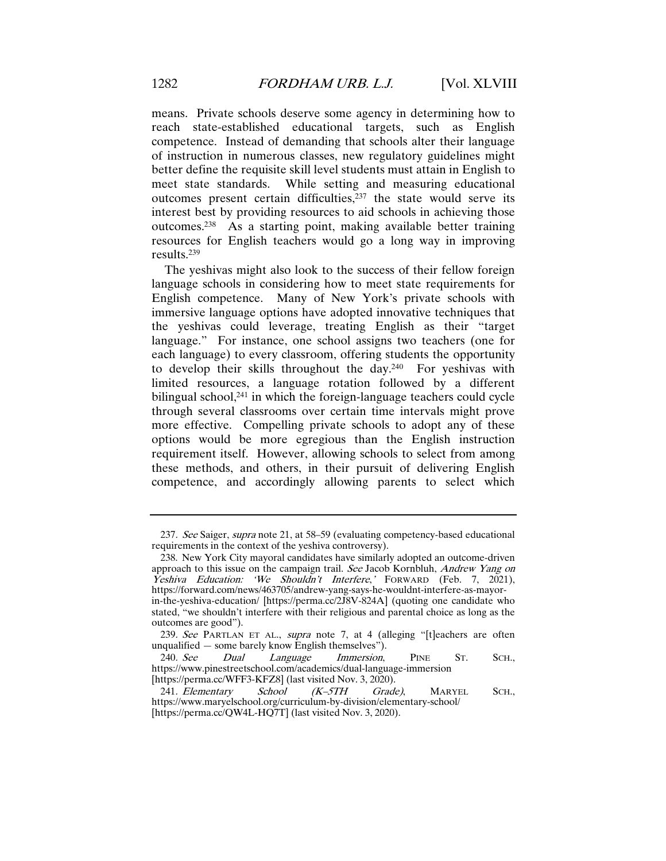means. Private schools deserve some agency in determining how to reach state-established educational targets, such as English competence. Instead of demanding that schools alter their language of instruction in numerous classes, new regulatory guidelines might better define the requisite skill level students must attain in English to meet state standards. While setting and measuring educational outcomes present certain difficulties, $237$  the state would serve its interest best by providing resources to aid schools in achieving those outcomes.238 As a starting point, making available better training resources for English teachers would go a long way in improving results.239

The yeshivas might also look to the success of their fellow foreign language schools in considering how to meet state requirements for English competence. Many of New York's private schools with immersive language options have adopted innovative techniques that the yeshivas could leverage, treating English as their "target language." For instance, one school assigns two teachers (one for each language) to every classroom, offering students the opportunity to develop their skills throughout the day.240 For yeshivas with limited resources, a language rotation followed by a different bilingual school, $241$  in which the foreign-language teachers could cycle through several classrooms over certain time intervals might prove more effective. Compelling private schools to adopt any of these options would be more egregious than the English instruction requirement itself. However, allowing schools to select from among these methods, and others, in their pursuit of delivering English competence, and accordingly allowing parents to select which

<sup>237.</sup> See Saiger, supra note 21, at 58–59 (evaluating competency-based educational requirements in the context of the yeshiva controversy).

<sup>238.</sup> New York City mayoral candidates have similarly adopted an outcome-driven approach to this issue on the campaign trail. See Jacob Kornbluh, Andrew Yang on Yeshiva Education: 'We Shouldn't Interfere,' FORWARD (Feb. 7, 2021), https://forward.com/news/463705/andrew-yang-says-he-wouldnt-interfere-as-mayorin-the-yeshiva-education/ [https://perma.cc/2J8V-824A] (quoting one candidate who stated, "we shouldn't interfere with their religious and parental choice as long as the outcomes are good").

<sup>239.</sup> See PARTLAN ET AL., supra note 7, at 4 (alleging "[t]eachers are often unqualified — some barely know English themselves").

<sup>240</sup>. See Dual Language Immersion, PINE ST. SCH., https://www.pinestreetschool.com/academics/dual-language-immersion [https://perma.cc/WFF3-KFZ8] (last visited Nov. 3, 2020).

<sup>241.</sup> Elementary School (K-5TH Grade), MARYEL SCH., https://www.maryelschool.org/curriculum-by-division/elementary-school/ [https://perma.cc/QW4L-HQ7T] (last visited Nov. 3, 2020).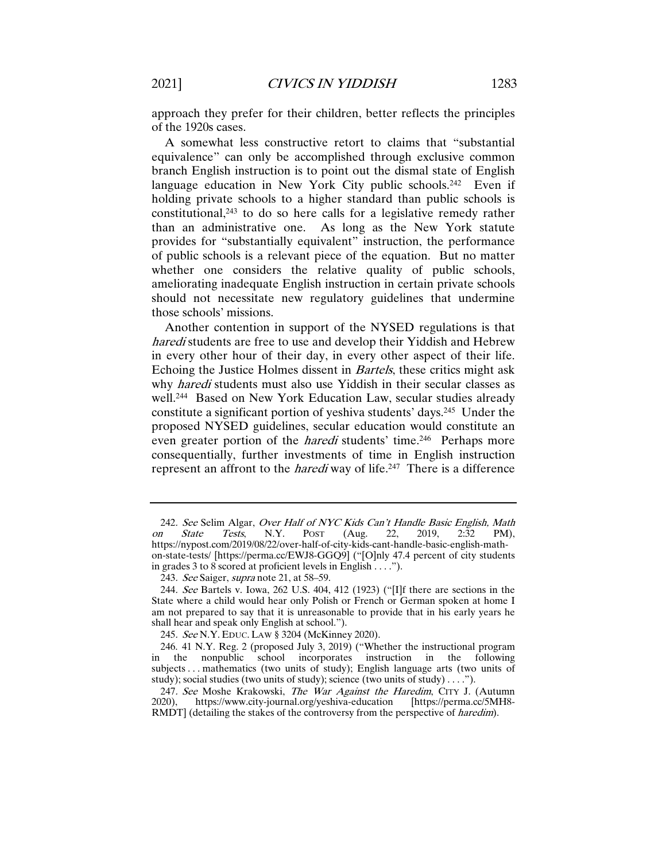approach they prefer for their children, better reflects the principles of the 1920s cases.

A somewhat less constructive retort to claims that "substantial equivalence" can only be accomplished through exclusive common branch English instruction is to point out the dismal state of English language education in New York City public schools.<sup>242</sup> Even if holding private schools to a higher standard than public schools is constitutional,243 to do so here calls for a legislative remedy rather than an administrative one. As long as the New York statute provides for "substantially equivalent" instruction, the performance of public schools is a relevant piece of the equation. But no matter whether one considers the relative quality of public schools, ameliorating inadequate English instruction in certain private schools should not necessitate new regulatory guidelines that undermine those schools' missions.

Another contention in support of the NYSED regulations is that haredi students are free to use and develop their Yiddish and Hebrew in every other hour of their day, in every other aspect of their life. Echoing the Justice Holmes dissent in Bartels, these critics might ask why *haredi* students must also use Yiddish in their secular classes as well.<sup>244</sup> Based on New York Education Law, secular studies already constitute a significant portion of yeshiva students' days.245 Under the proposed NYSED guidelines, secular education would constitute an even greater portion of the *haredi* students' time.<sup>246</sup> Perhaps more consequentially, further investments of time in English instruction represent an affront to the *haredi* way of life.<sup>247</sup> There is a difference

<sup>242.</sup> See Selim Algar, Over Half of NYC Kids Can't Handle Basic English, Math n State Tests, N.Y. POST (Aug. 22, 2019, 2:32 PM), on State Tests, N.Y. POST (Aug. 22, 2019, 2:32 PM), https://nypost.com/2019/08/22/over-half-of-city-kids-cant-handle-basic-english-mathon-state-tests/ [https://perma.cc/EWJ8-GGQ9] ("[O]nly 47.4 percent of city students in grades 3 to 8 scored at proficient levels in English . . . .").

<sup>243.</sup> See Saiger, supra note 21, at 58-59.

<sup>244</sup>. See Bartels v. Iowa, 262 U.S. 404, 412 (1923) ("[I]f there are sections in the State where a child would hear only Polish or French or German spoken at home I am not prepared to say that it is unreasonable to provide that in his early years he shall hear and speak only English at school.").

<sup>245</sup>. See N.Y. EDUC. LAW § 3204 (McKinney 2020).

<sup>246.</sup> 41 N.Y. Reg. 2 (proposed July 3, 2019) ("Whether the instructional program in the nonpublic school incorporates instruction in the following subjects . . . mathematics (two units of study); English language arts (two units of study); social studies (two units of study); science (two units of study) . . . .").

<sup>247.</sup> See Moshe Krakowski, The War Against the Haredim, CITY J. (Autumn 2020). https://www.city-journal.org/veshiva-education [https://perma.cc/5MH8https://www.city-journal.org/yeshiva-education [https://perma.cc/5MH8-RMDT] (detailing the stakes of the controversy from the perspective of *haredim*).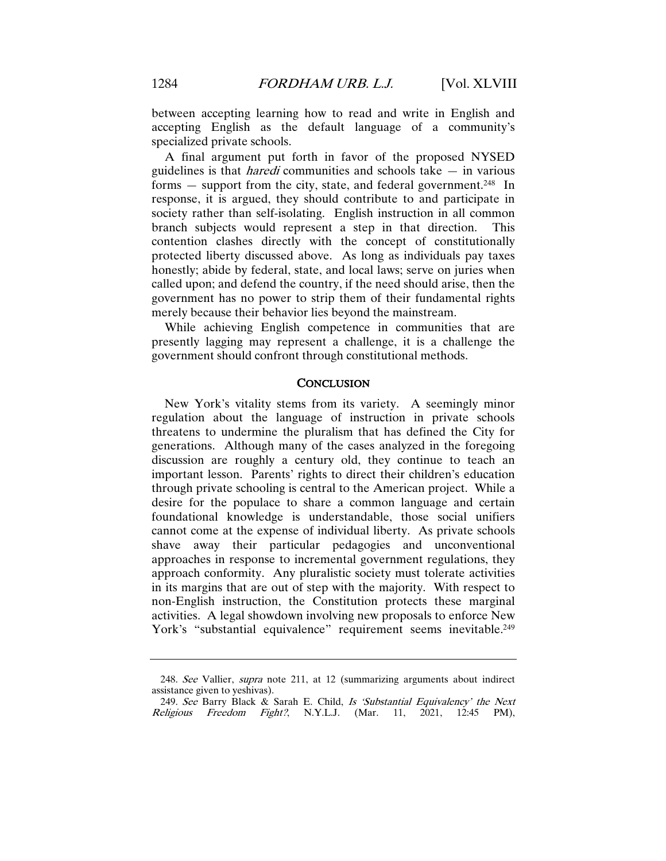A final argument put forth in favor of the proposed NYSED guidelines is that *haredi* communities and schools take  $-$  in various forms  $-$  support from the city, state, and federal government.<sup>248</sup> In response, it is argued, they should contribute to and participate in society rather than self-isolating. English instruction in all common branch subjects would represent a step in that direction. This contention clashes directly with the concept of constitutionally protected liberty discussed above. As long as individuals pay taxes honestly; abide by federal, state, and local laws; serve on juries when called upon; and defend the country, if the need should arise, then the government has no power to strip them of their fundamental rights merely because their behavior lies beyond the mainstream.

While achieving English competence in communities that are presently lagging may represent a challenge, it is a challenge the government should confront through constitutional methods.

#### **CONCLUSION**

New York's vitality stems from its variety. A seemingly minor regulation about the language of instruction in private schools threatens to undermine the pluralism that has defined the City for generations. Although many of the cases analyzed in the foregoing discussion are roughly a century old, they continue to teach an important lesson. Parents' rights to direct their children's education through private schooling is central to the American project. While a desire for the populace to share a common language and certain foundational knowledge is understandable, those social unifiers cannot come at the expense of individual liberty. As private schools shave away their particular pedagogies and unconventional approaches in response to incremental government regulations, they approach conformity. Any pluralistic society must tolerate activities in its margins that are out of step with the majority. With respect to non-English instruction, the Constitution protects these marginal activities. A legal showdown involving new proposals to enforce New York's "substantial equivalence" requirement seems inevitable.<sup>249</sup>

<sup>248.</sup> See Vallier, *supra* note 211, at 12 (summarizing arguments about indirect assistance given to yeshivas).

<sup>249</sup>. See Barry Black & Sarah E. Child, Is 'Substantial Equivalency' the Next Religious Freedom Fight?, N.Y.L.J. (Mar. 11, 2021, 12:45 PM),